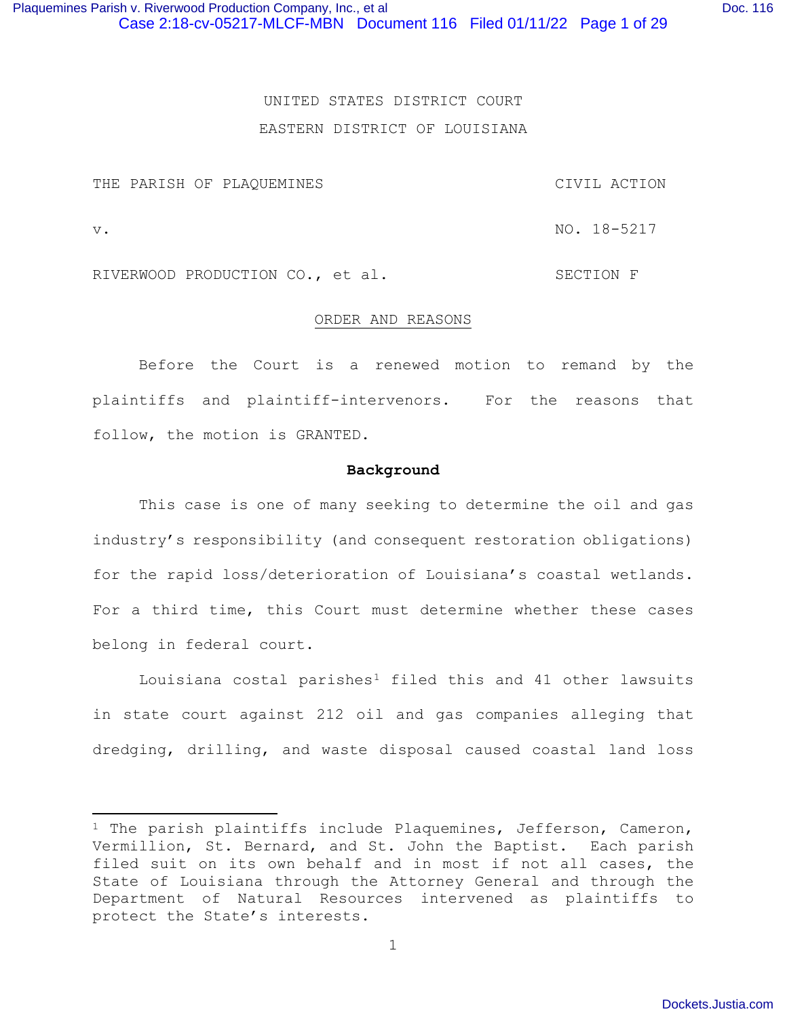# UNITED STATES DISTRICT COURT EASTERN DISTRICT OF LOUISIANA

THE PARISH OF PLAQUEMINES CIVIL ACTION

RIVERWOOD PRODUCTION CO., et al. SECTION F

#### ORDER AND REASONS

Before the Court is a renewed motion to remand by the plaintiffs and plaintiff-intervenors. For the reasons that follow, the motion is GRANTED.

#### **Background**

This case is one of many seeking to determine the oil and gas industry's responsibility (and consequent restoration obligations) for the rapid loss/deterioration of Louisiana's coastal wetlands. For a third time, this Court must determine whether these cases belong in federal court.

Louisiana costal parishes<sup>1</sup> filed this and 41 other lawsuits in state court against 212 oil and gas companies alleging that dredging, drilling, and waste disposal caused coastal land loss

v. NO. 18-5217

<sup>&</sup>lt;sup>1</sup> The parish plaintiffs include Plaquemines, Jefferson, Cameron, Vermillion, St. Bernard, and St. John the Baptist. Each parish filed suit on its own behalf and in most if not all cases, the State of Louisiana through the Attorney General and through the Department of Natural Resources intervened as plaintiffs to protect the State's interests.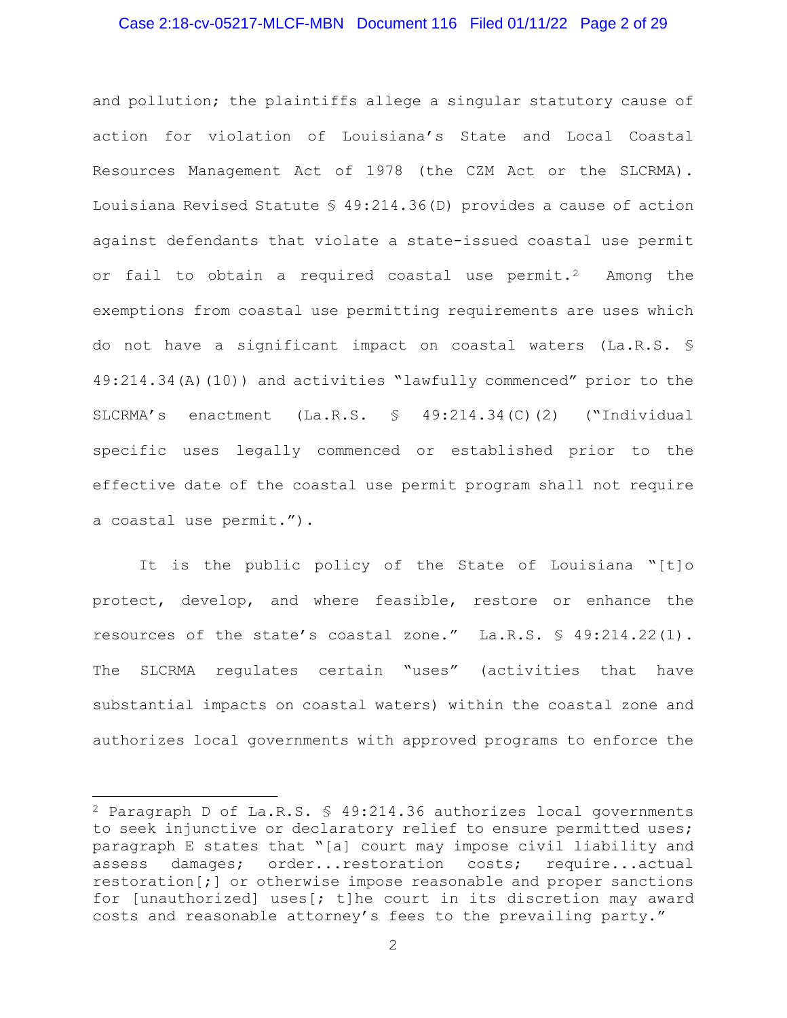# Case 2:18-cv-05217-MLCF-MBN Document 116 Filed 01/11/22 Page 2 of 29

and pollution; the plaintiffs allege a singular statutory cause of action for violation of Louisiana's State and Local Coastal Resources Management Act of 1978 (the CZM Act or the SLCRMA). Louisiana Revised Statute § 49:214.36(D) provides a cause of action against defendants that violate a state-issued coastal use permit or fail to obtain a required coastal use permit.<sup>2</sup> Among the exemptions from coastal use permitting requirements are uses which do not have a significant impact on coastal waters (La.R.S. § 49:214.34(A)(10)) and activities "lawfully commenced" prior to the SLCRMA's enactment (La.R.S. § 49:214.34(C)(2) ("Individual specific uses legally commenced or established prior to the effective date of the coastal use permit program shall not require a coastal use permit.").

It is the public policy of the State of Louisiana "[t]o protect, develop, and where feasible, restore or enhance the resources of the state's coastal zone." La.R.S. § 49:214.22(1). The SLCRMA regulates certain "uses" (activities that have substantial impacts on coastal waters) within the coastal zone and authorizes local governments with approved programs to enforce the

<sup>&</sup>lt;sup>2</sup> Paragraph D of La.R.S.  $\frac{1}{2}$  49:214.36 authorizes local governments to seek injunctive or declaratory relief to ensure permitted uses; paragraph E states that "[a] court may impose civil liability and assess damages; order...restoration costs; require...actual restoration[;] or otherwise impose reasonable and proper sanctions for [unauthorized] uses  $\left| \cdot \right|$  t] he court in its discretion may award costs and reasonable attorney's fees to the prevailing party."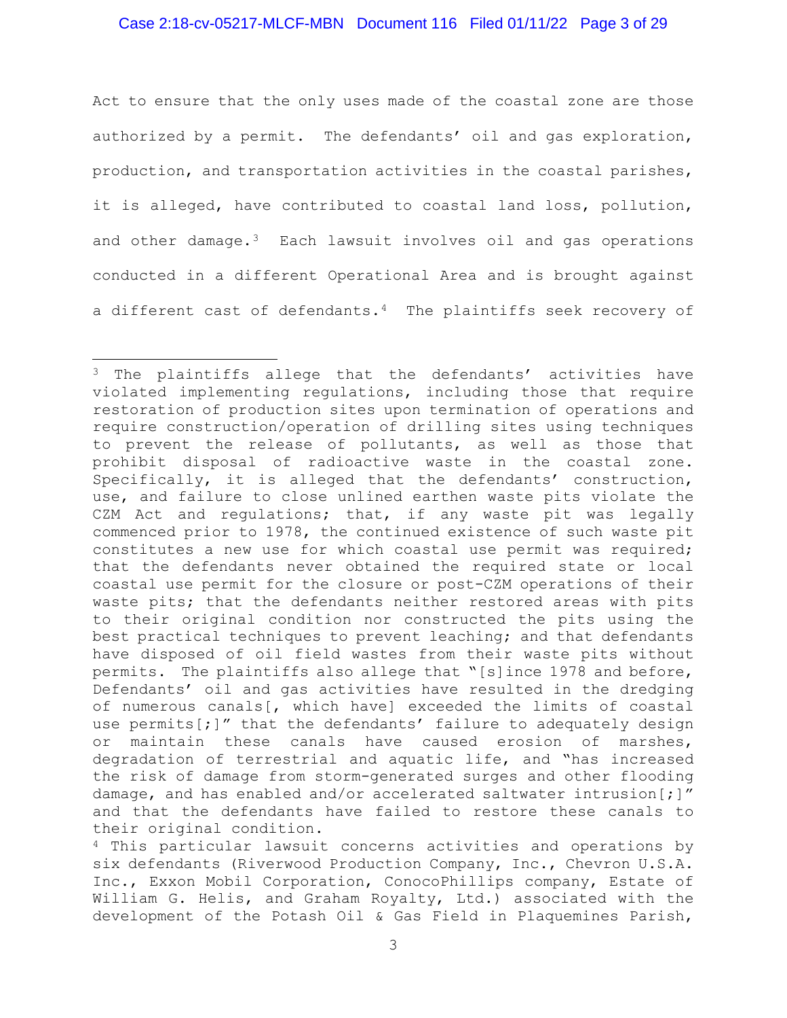# Case 2:18-cv-05217-MLCF-MBN Document 116 Filed 01/11/22 Page 3 of 29

Act to ensure that the only uses made of the coastal zone are those authorized by a permit. The defendants' oil and gas exploration, production, and transportation activities in the coastal parishes, it is alleged, have contributed to coastal land loss, pollution, and other damage.<sup>3</sup> Each lawsuit involves oil and gas operations conducted in a different Operational Area and is brought against a different cast of defendants.<sup>4</sup> The plaintiffs seek recovery of

<sup>&</sup>lt;sup>3</sup> The plaintiffs allege that the defendants' activities have violated implementing regulations, including those that require restoration of production sites upon termination of operations and require construction/operation of drilling sites using techniques to prevent the release of pollutants, as well as those that prohibit disposal of radioactive waste in the coastal zone. Specifically, it is alleged that the defendants' construction, use, and failure to close unlined earthen waste pits violate the CZM Act and regulations; that, if any waste pit was legally commenced prior to 1978, the continued existence of such waste pit constitutes a new use for which coastal use permit was required; that the defendants never obtained the required state or local coastal use permit for the closure or post-CZM operations of their waste pits; that the defendants neither restored areas with pits to their original condition nor constructed the pits using the best practical techniques to prevent leaching; and that defendants have disposed of oil field wastes from their waste pits without permits. The plaintiffs also allege that "[s]ince 1978 and before, Defendants' oil and gas activities have resulted in the dredging of numerous canals[, which have] exceeded the limits of coastal use permits[;]" that the defendants' failure to adequately design or maintain these canals have caused erosion of marshes, degradation of terrestrial and aquatic life, and "has increased the risk of damage from storm-generated surges and other flooding damage, and has enabled and/or accelerated saltwater intrusion[;]" and that the defendants have failed to restore these canals to their original condition.

<sup>4</sup> This particular lawsuit concerns activities and operations by six defendants (Riverwood Production Company, Inc., Chevron U.S.A. Inc., Exxon Mobil Corporation, ConocoPhillips company, Estate of William G. Helis, and Graham Royalty, Ltd.) associated with the development of the Potash Oil & Gas Field in Plaquemines Parish,

<sup>3</sup>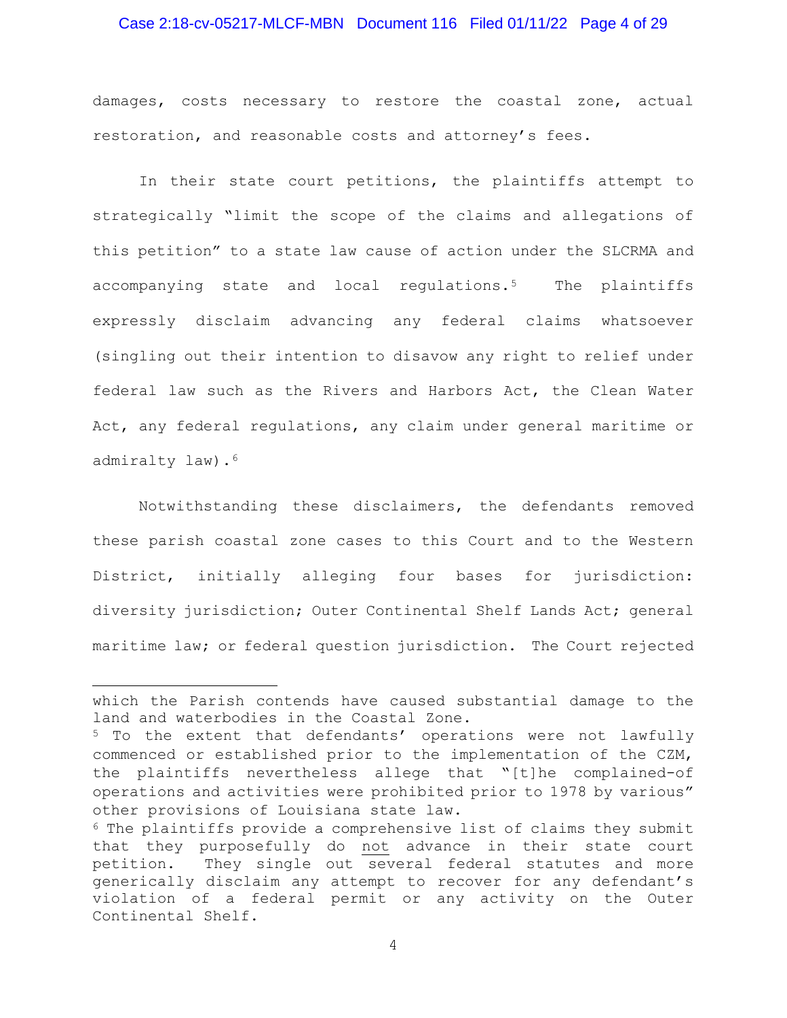# Case 2:18-cv-05217-MLCF-MBN Document 116 Filed 01/11/22 Page 4 of 29

damages, costs necessary to restore the coastal zone, actual restoration, and reasonable costs and attorney's fees.

In their state court petitions, the plaintiffs attempt to strategically "limit the scope of the claims and allegations of this petition" to a state law cause of action under the SLCRMA and accompanying state and local regulations.<sup>5</sup> The plaintiffs expressly disclaim advancing any federal claims whatsoever (singling out their intention to disavow any right to relief under federal law such as the Rivers and Harbors Act, the Clean Water Act, any federal regulations, any claim under general maritime or admiralty law).<sup>6</sup>

Notwithstanding these disclaimers, the defendants removed these parish coastal zone cases to this Court and to the Western District, initially alleging four bases for jurisdiction: diversity jurisdiction; Outer Continental Shelf Lands Act; general maritime law; or federal question jurisdiction. The Court rejected

which the Parish contends have caused substantial damage to the land and waterbodies in the Coastal Zone.

<sup>&</sup>lt;sup>5</sup> To the extent that defendants' operations were not lawfully commenced or established prior to the implementation of the CZM, the plaintiffs nevertheless allege that "[t]he complained-of operations and activities were prohibited prior to 1978 by various" other provisions of Louisiana state law.

 $6$  The plaintiffs provide a comprehensive list of claims they submit that they purposefully do not advance in their state court petition. They single out several federal statutes and more generically disclaim any attempt to recover for any defendant's violation of a federal permit or any activity on the Outer Continental Shelf.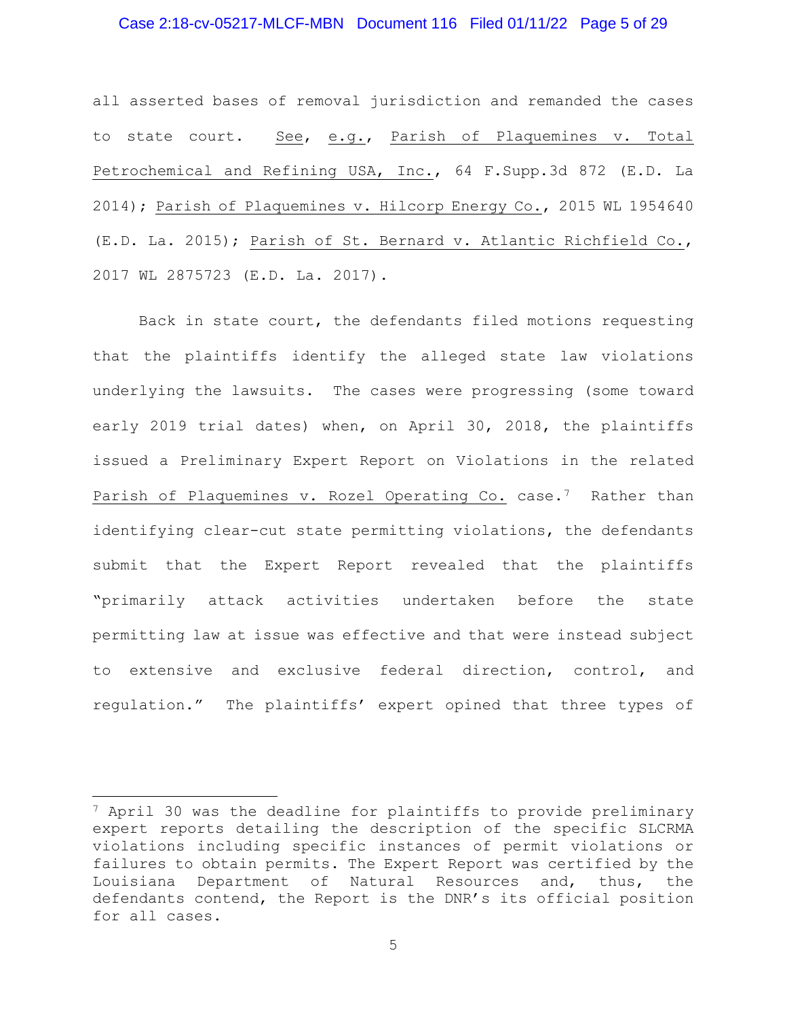# Case 2:18-cv-05217-MLCF-MBN Document 116 Filed 01/11/22 Page 5 of 29

all asserted bases of removal jurisdiction and remanded the cases to state court. See, e.g., Parish of Plaquemines v. Total Petrochemical and Refining USA, Inc., 64 F.Supp.3d 872 (E.D. La 2014); Parish of Plaquemines v. Hilcorp Energy Co., 2015 WL 1954640 (E.D. La. 2015); Parish of St. Bernard v. Atlantic Richfield Co., 2017 WL 2875723 (E.D. La. 2017).

 Back in state court, the defendants filed motions requesting that the plaintiffs identify the alleged state law violations underlying the lawsuits. The cases were progressing (some toward early 2019 trial dates) when, on April 30, 2018, the plaintiffs issued a Preliminary Expert Report on Violations in the related Parish of Plaquemines v. Rozel Operating Co. case.<sup>7</sup> Rather than identifying clear-cut state permitting violations, the defendants submit that the Expert Report revealed that the plaintiffs "primarily attack activities undertaken before the state permitting law at issue was effective and that were instead subject to extensive and exclusive federal direction, control, and regulation." The plaintiffs' expert opined that three types of

<sup>7</sup> April 30 was the deadline for plaintiffs to provide preliminary expert reports detailing the description of the specific SLCRMA violations including specific instances of permit violations or failures to obtain permits. The Expert Report was certified by the Louisiana Department of Natural Resources and, thus, the defendants contend, the Report is the DNR's its official position for all cases.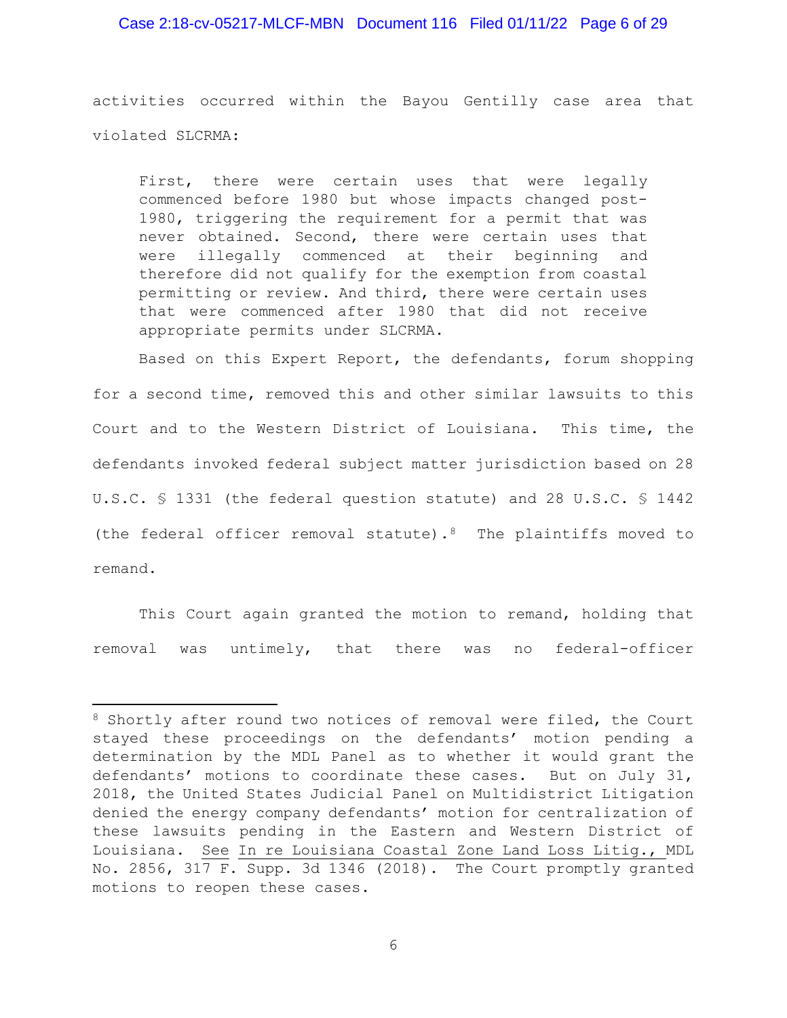# Case 2:18-cv-05217-MLCF-MBN Document 116 Filed 01/11/22 Page 6 of 29

activities occurred within the Bayou Gentilly case area that violated SLCRMA:

First, there were certain uses that were legally commenced before 1980 but whose impacts changed post-1980, triggering the requirement for a permit that was never obtained. Second, there were certain uses that were illegally commenced at their beginning and therefore did not qualify for the exemption from coastal permitting or review. And third, there were certain uses that were commenced after 1980 that did not receive appropriate permits under SLCRMA.

Based on this Expert Report, the defendants, forum shopping for a second time, removed this and other similar lawsuits to this Court and to the Western District of Louisiana. This time, the defendants invoked federal subject matter jurisdiction based on 28 U.S.C. § 1331 (the federal question statute) and 28 U.S.C. § 1442 (the federal officer removal statute). $8$  The plaintiffs moved to remand.

This Court again granted the motion to remand, holding that removal was untimely, that there was no federal-officer

<sup>&</sup>lt;sup>8</sup> Shortly after round two notices of removal were filed, the Court stayed these proceedings on the defendants' motion pending a determination by the MDL Panel as to whether it would grant the defendants' motions to coordinate these cases. But on July 31, 2018, the United States Judicial Panel on Multidistrict Litigation denied the energy company defendants' motion for centralization of these lawsuits pending in the Eastern and Western District of Louisiana. See In re Louisiana Coastal Zone Land Loss Litig., MDL No. 2856, 317 F. Supp. 3d 1346 (2018). The Court promptly granted motions to reopen these cases.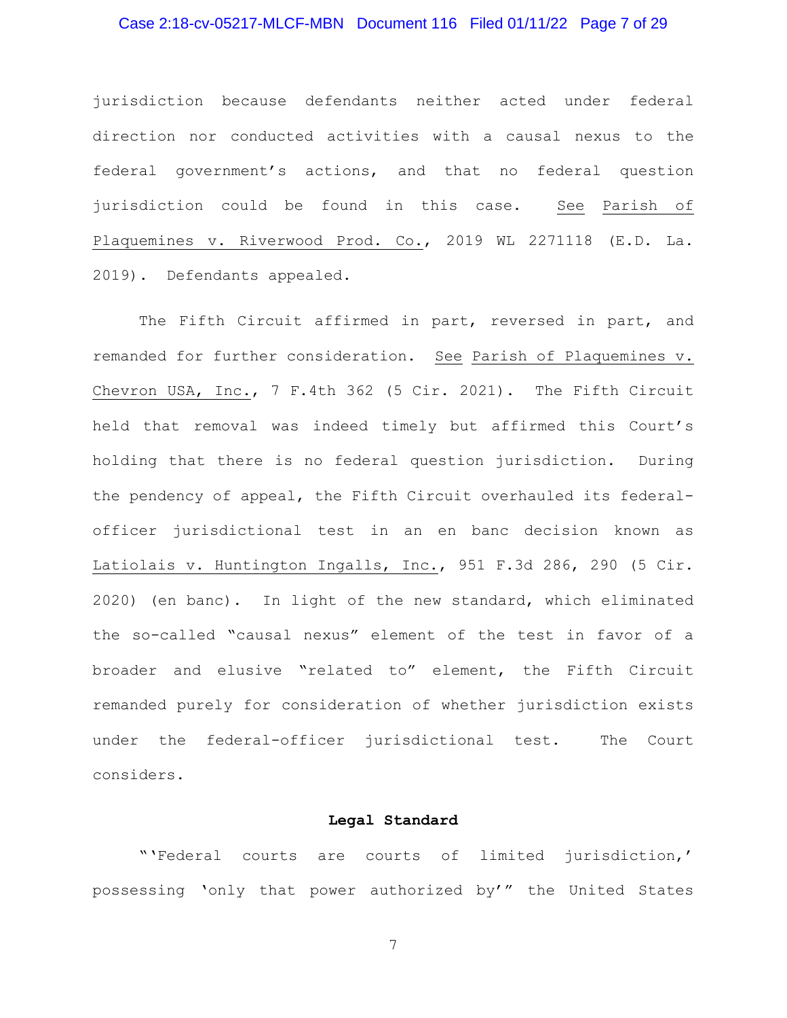# Case 2:18-cv-05217-MLCF-MBN Document 116 Filed 01/11/22 Page 7 of 29

jurisdiction because defendants neither acted under federal direction nor conducted activities with a causal nexus to the federal government's actions, and that no federal question jurisdiction could be found in this case. See Parish of Plaquemines v. Riverwood Prod. Co., 2019 WL 2271118 (E.D. La. 2019). Defendants appealed.

 The Fifth Circuit affirmed in part, reversed in part, and remanded for further consideration. See Parish of Plaquemines v. Chevron USA, Inc., 7 F.4th 362 (5 Cir. 2021). The Fifth Circuit held that removal was indeed timely but affirmed this Court's holding that there is no federal question jurisdiction. During the pendency of appeal, the Fifth Circuit overhauled its federalofficer jurisdictional test in an en banc decision known as Latiolais v. Huntington Ingalls, Inc., 951 F.3d 286, 290 (5 Cir. 2020) (en banc). In light of the new standard, which eliminated the so-called "causal nexus" element of the test in favor of a broader and elusive "related to" element, the Fifth Circuit remanded purely for consideration of whether jurisdiction exists under the federal-officer jurisdictional test. The Court considers.

# **Legal Standard**

 "'Federal courts are courts of limited jurisdiction,' possessing 'only that power authorized by'" the United States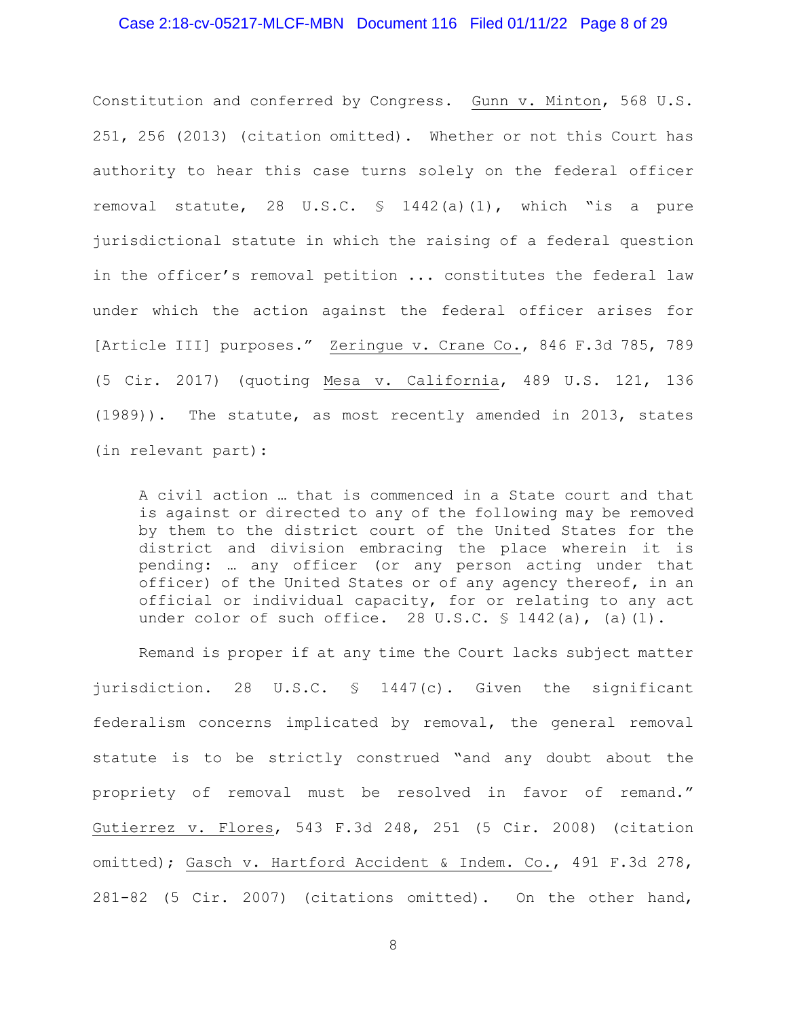# Case 2:18-cv-05217-MLCF-MBN Document 116 Filed 01/11/22 Page 8 of 29

Constitution and conferred by Congress. Gunn v. Minton, 568 U.S. 251, 256 (2013) (citation omitted). Whether or not this Court has authority to hear this case turns solely on the federal officer removal statute, 28 U.S.C. § 1442(a)(1), which "is a pure jurisdictional statute in which the raising of a federal question in the officer's removal petition ... constitutes the federal law under which the action against the federal officer arises for [Article III] purposes." Zeringue v. Crane Co., 846 F.3d 785, 789 (5 Cir. 2017) (quoting Mesa v. California, 489 U.S. 121, 136 (1989)). The statute, as most recently amended in 2013, states (in relevant part):

A civil action … that is commenced in a State court and that is against or directed to any of the following may be removed by them to the district court of the United States for the district and division embracing the place wherein it is pending: … any officer (or any person acting under that officer) of the United States or of any agency thereof, in an official or individual capacity, for or relating to any act under color of such office. 28 U.S.C. § 1442(a), (a)(1).

Remand is proper if at any time the Court lacks subject matter jurisdiction. 28 U.S.C. § 1447(c). Given the significant federalism concerns implicated by removal, the general removal statute is to be strictly construed "and any doubt about the propriety of removal must be resolved in favor of remand." Gutierrez v. Flores, 543 F.3d 248, 251 (5 Cir. 2008) (citation omitted); Gasch v. Hartford Accident & Indem. Co., 491 F.3d 278, 281-82 (5 Cir. 2007) (citations omitted). On the other hand,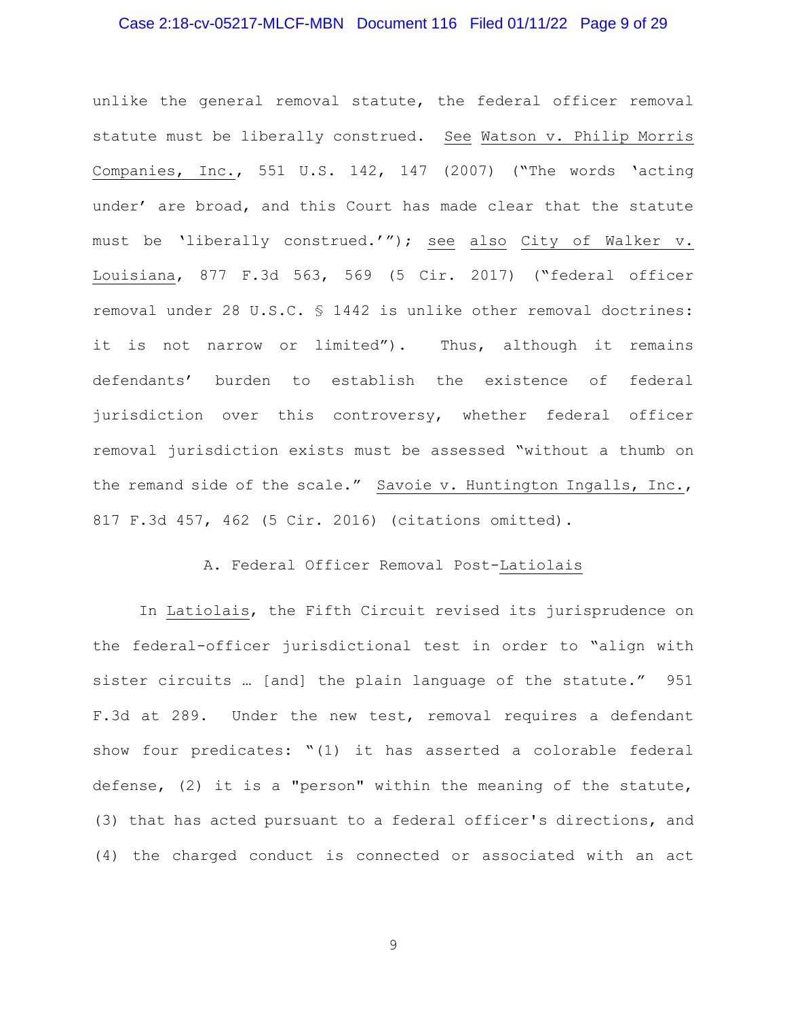# Case 2:18-cv-05217-MLCF-MBN Document 116 Filed 01/11/22 Page 9 of 29

unlike the general removal statute, the federal officer removal statute must be liberally construed. See Watson v. Philip Morris Companies, Inc., 551 U.S. 142, 147 (2007) ("The words 'acting under' are broad, and this Court has made clear that the statute must be 'liberally construed.'"); see also City of Walker v. Louisiana, 877 F.3d 563, 569 (5 Cir. 2017) ("federal officer removal under 28 U.S.C. § 1442 is unlike other removal doctrines: it is not narrow or limited"). Thus, although it remains defendants' burden to establish the existence of federal jurisdiction over this controversy, whether federal officer removal jurisdiction exists must be assessed "without a thumb on the remand side of the scale." Savoie v. Huntington Ingalls, Inc., 817 F.3d 457, 462 (5 Cir. 2016) (citations omitted).

# A. Federal Officer Removal Post-Latiolais

 In Latiolais, the Fifth Circuit revised its jurisprudence on the federal-officer jurisdictional test in order to "align with sister circuits … [and] the plain language of the statute." 951 F.3d at 289. Under the new test, removal requires a defendant show four predicates: "(1) it has asserted a colorable federal defense, (2) it is a "person" within the meaning of the statute, (3) that has acted pursuant to a federal officer's directions, and (4) the charged conduct is connected or associated with an act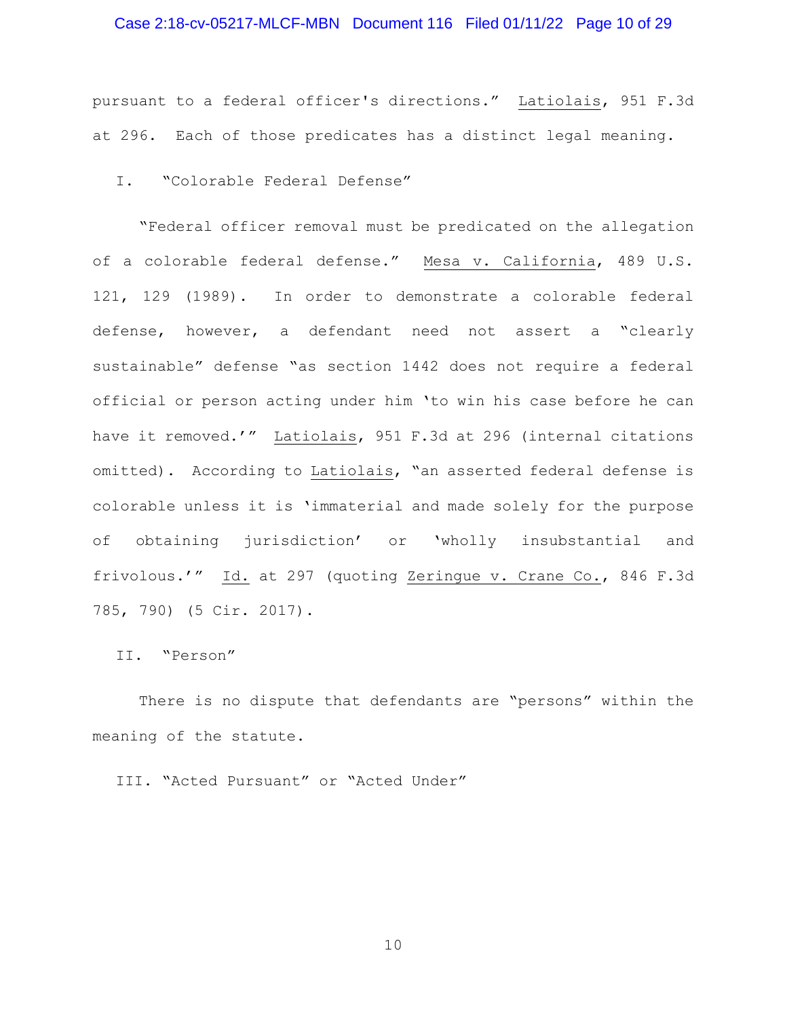# Case 2:18-cv-05217-MLCF-MBN Document 116 Filed 01/11/22 Page 10 of 29

pursuant to a federal officer's directions." Latiolais, 951 F.3d at 296. Each of those predicates has a distinct legal meaning.

I. "Colorable Federal Defense"

"Federal officer removal must be predicated on the allegation of a colorable federal defense." Mesa v. California, 489 U.S. 121, 129 (1989). In order to demonstrate a colorable federal defense, however, a defendant need not assert a "clearly sustainable" defense "as section 1442 does not require a federal official or person acting under him 'to win his case before he can have it removed.'" Latiolais, 951 F.3d at 296 (internal citations omitted). According to Latiolais, "an asserted federal defense is colorable unless it is 'immaterial and made solely for the purpose of obtaining jurisdiction' or 'wholly insubstantial and frivolous.'" Id. at 297 (quoting Zeringue v. Crane Co., 846 F.3d 785, 790) (5 Cir. 2017).

II. "Person"

There is no dispute that defendants are "persons" within the meaning of the statute.

III. "Acted Pursuant" or "Acted Under"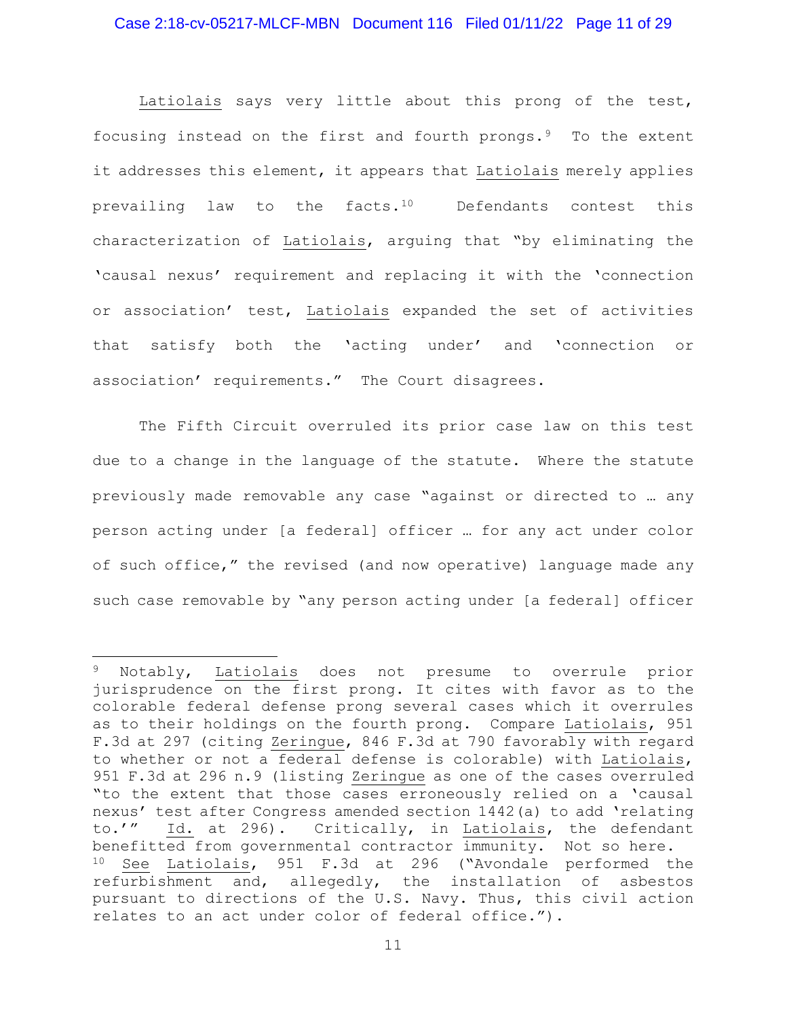Latiolais says very little about this prong of the test, focusing instead on the first and fourth prongs.<sup>9</sup> To the extent it addresses this element, it appears that Latiolais merely applies prevailing law to the facts.<sup>10</sup> Defendants contest this characterization of Latiolais, arguing that "by eliminating the 'causal nexus' requirement and replacing it with the 'connection or association' test, Latiolais expanded the set of activities that satisfy both the 'acting under' and 'connection or association' requirements." The Court disagrees.

The Fifth Circuit overruled its prior case law on this test due to a change in the language of the statute. Where the statute previously made removable any case "against or directed to … any person acting under [a federal] officer … for any act under color of such office," the revised (and now operative) language made any such case removable by "any person acting under [a federal] officer

<sup>9</sup> Notably, Latiolais does not presume to overrule prior jurisprudence on the first prong. It cites with favor as to the colorable federal defense prong several cases which it overrules as to their holdings on the fourth prong. Compare Latiolais, 951 F.3d at 297 (citing Zeringue, 846 F.3d at 790 favorably with regard to whether or not a federal defense is colorable) with Latiolais, 951 F.3d at 296 n.9 (listing Zeringue as one of the cases overruled "to the extent that those cases erroneously relied on a 'causal nexus' test after Congress amended section 1442(a) to add 'relating to.'" Id. at 296). Critically, in Latiolais, the defendant benefitted from governmental contractor immunity. Not so here. <sup>10</sup> See Latiolais, 951 F.3d at 296 ("Avondale performed the refurbishment and, allegedly, the installation of asbestos pursuant to directions of the U.S. Navy. Thus, this civil action relates to an act under color of federal office.").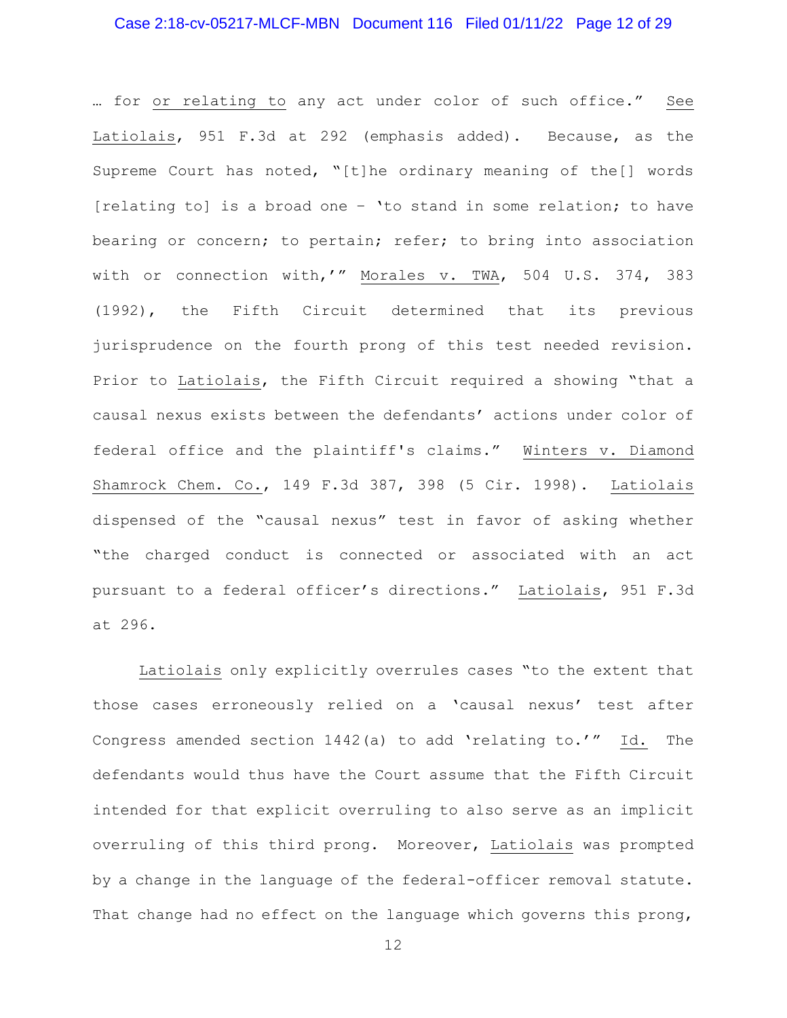# Case 2:18-cv-05217-MLCF-MBN Document 116 Filed 01/11/22 Page 12 of 29

… for or relating to any act under color of such office." See Latiolais, 951 F.3d at 292 (emphasis added). Because, as the Supreme Court has noted, "[t]he ordinary meaning of the[] words [relating to] is a broad one – 'to stand in some relation; to have bearing or concern; to pertain; refer; to bring into association with or connection with,'" Morales v. TWA, 504 U.S. 374, 383 (1992), the Fifth Circuit determined that its previous jurisprudence on the fourth prong of this test needed revision. Prior to Latiolais, the Fifth Circuit required a showing "that a causal nexus exists between the defendants' actions under color of federal office and the plaintiff's claims." Winters v. Diamond Shamrock Chem. Co., 149 F.3d 387, 398 (5 Cir. 1998). Latiolais dispensed of the "causal nexus" test in favor of asking whether "the charged conduct is connected or associated with an act pursuant to a federal officer's directions." Latiolais, 951 F.3d at 296.

Latiolais only explicitly overrules cases "to the extent that those cases erroneously relied on a 'causal nexus' test after Congress amended section 1442(a) to add 'relating to.'" Id. The defendants would thus have the Court assume that the Fifth Circuit intended for that explicit overruling to also serve as an implicit overruling of this third prong. Moreover, Latiolais was prompted by a change in the language of the federal-officer removal statute. That change had no effect on the language which governs this prong,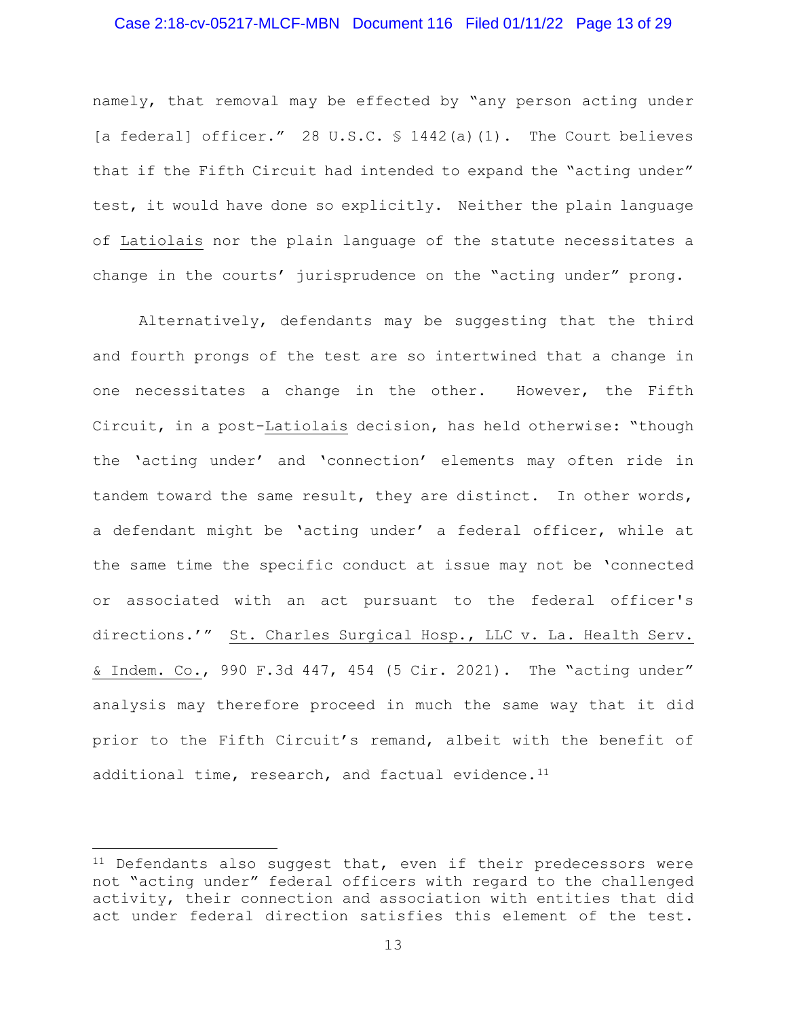# Case 2:18-cv-05217-MLCF-MBN Document 116 Filed 01/11/22 Page 13 of 29

namely, that removal may be effected by "any person acting under [a federal] officer." 28 U.S.C. § 1442(a)(1). The Court believes that if the Fifth Circuit had intended to expand the "acting under" test, it would have done so explicitly. Neither the plain language of Latiolais nor the plain language of the statute necessitates a change in the courts' jurisprudence on the "acting under" prong.

Alternatively, defendants may be suggesting that the third and fourth prongs of the test are so intertwined that a change in one necessitates a change in the other. However, the Fifth Circuit, in a post-Latiolais decision, has held otherwise: "though the 'acting under' and 'connection' elements may often ride in tandem toward the same result, they are distinct. In other words, a defendant might be 'acting under' a federal officer, while at the same time the specific conduct at issue may not be 'connected or associated with an act pursuant to the federal officer's directions.'" St. Charles Surgical Hosp., LLC v. La. Health Serv. & Indem. Co., 990 F.3d 447, 454 (5 Cir. 2021). The "acting under" analysis may therefore proceed in much the same way that it did prior to the Fifth Circuit's remand, albeit with the benefit of additional time, research, and factual evidence. $11$ 

 $11$  Defendants also suggest that, even if their predecessors were not "acting under" federal officers with regard to the challenged activity, their connection and association with entities that did act under federal direction satisfies this element of the test.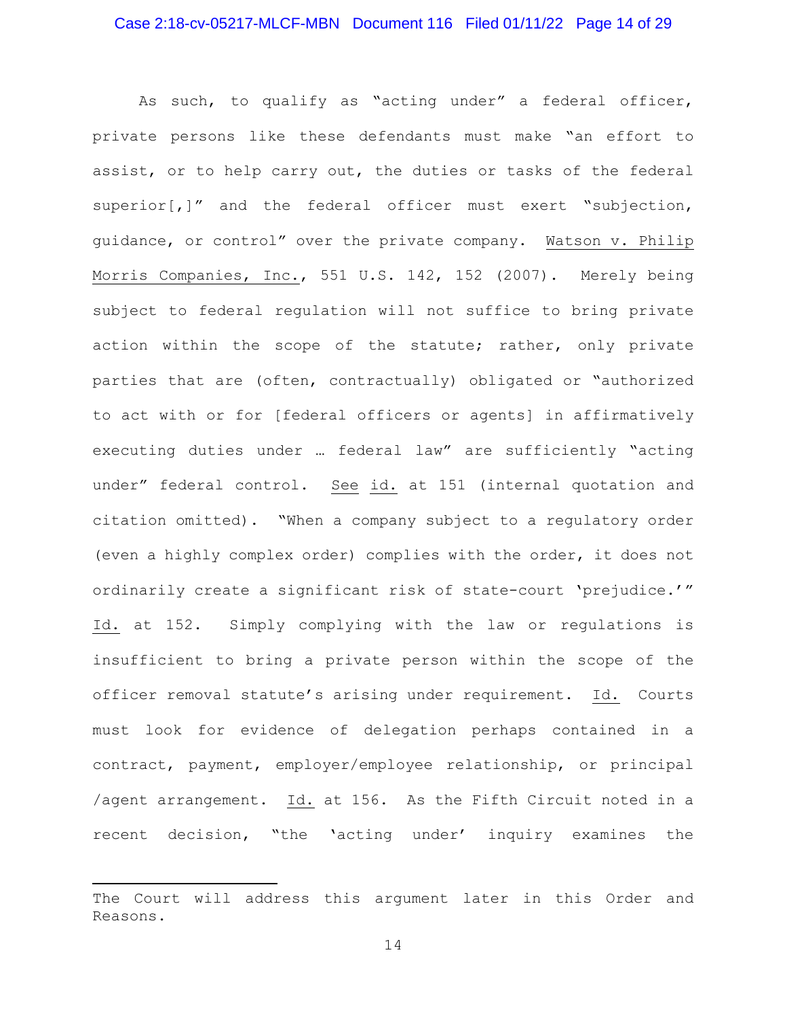# Case 2:18-cv-05217-MLCF-MBN Document 116 Filed 01/11/22 Page 14 of 29

As such, to qualify as "acting under" a federal officer, private persons like these defendants must make "an effort to assist, or to help carry out, the duties or tasks of the federal superior[,]" and the federal officer must exert "subjection, guidance, or control" over the private company. Watson v. Philip Morris Companies, Inc., 551 U.S. 142, 152 (2007). Merely being subject to federal regulation will not suffice to bring private action within the scope of the statute; rather, only private parties that are (often, contractually) obligated or "authorized to act with or for [federal officers or agents] in affirmatively executing duties under … federal law" are sufficiently "acting under" federal control. See id. at 151 (internal quotation and citation omitted). "When a company subject to a regulatory order (even a highly complex order) complies with the order, it does not ordinarily create a significant risk of state-court 'prejudice.'" Id. at 152. Simply complying with the law or regulations is insufficient to bring a private person within the scope of the officer removal statute's arising under requirement. Id. Courts must look for evidence of delegation perhaps contained in a contract, payment, employer/employee relationship, or principal /agent arrangement. Id. at 156. As the Fifth Circuit noted in a recent decision, "the 'acting under' inquiry examines the

The Court will address this argument later in this Order and Reasons.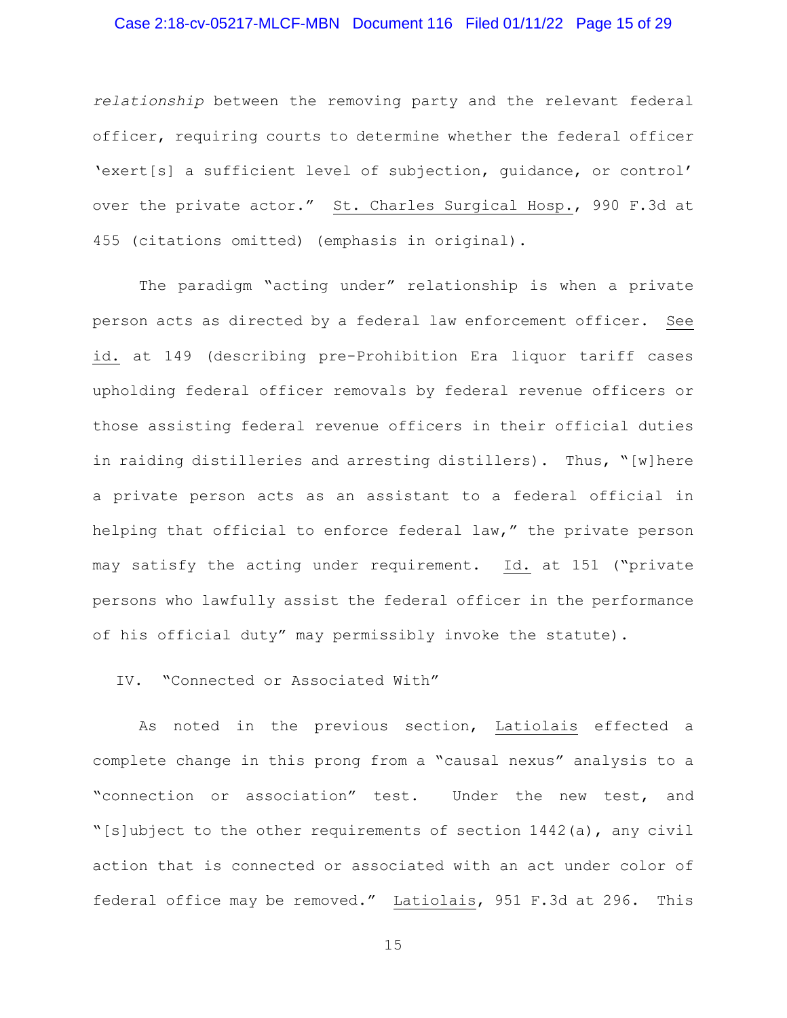# Case 2:18-cv-05217-MLCF-MBN Document 116 Filed 01/11/22 Page 15 of 29

*relationship* between the removing party and the relevant federal officer, requiring courts to determine whether the federal officer 'exert[s] a sufficient level of subjection, guidance, or control' over the private actor." St. Charles Surgical Hosp., 990 F.3d at 455 (citations omitted) (emphasis in original).

The paradigm "acting under" relationship is when a private person acts as directed by a federal law enforcement officer. See id. at 149 (describing pre-Prohibition Era liquor tariff cases upholding federal officer removals by federal revenue officers or those assisting federal revenue officers in their official duties in raiding distilleries and arresting distillers). Thus, "[w]here a private person acts as an assistant to a federal official in helping that official to enforce federal law," the private person may satisfy the acting under requirement. Id. at 151 ("private persons who lawfully assist the federal officer in the performance of his official duty" may permissibly invoke the statute).

IV. "Connected or Associated With"

As noted in the previous section, Latiolais effected a complete change in this prong from a "causal nexus" analysis to a "connection or association" test. Under the new test, and "[s]ubject to the other requirements of section 1442(a), any civil action that is connected or associated with an act under color of federal office may be removed." Latiolais, 951 F.3d at 296. This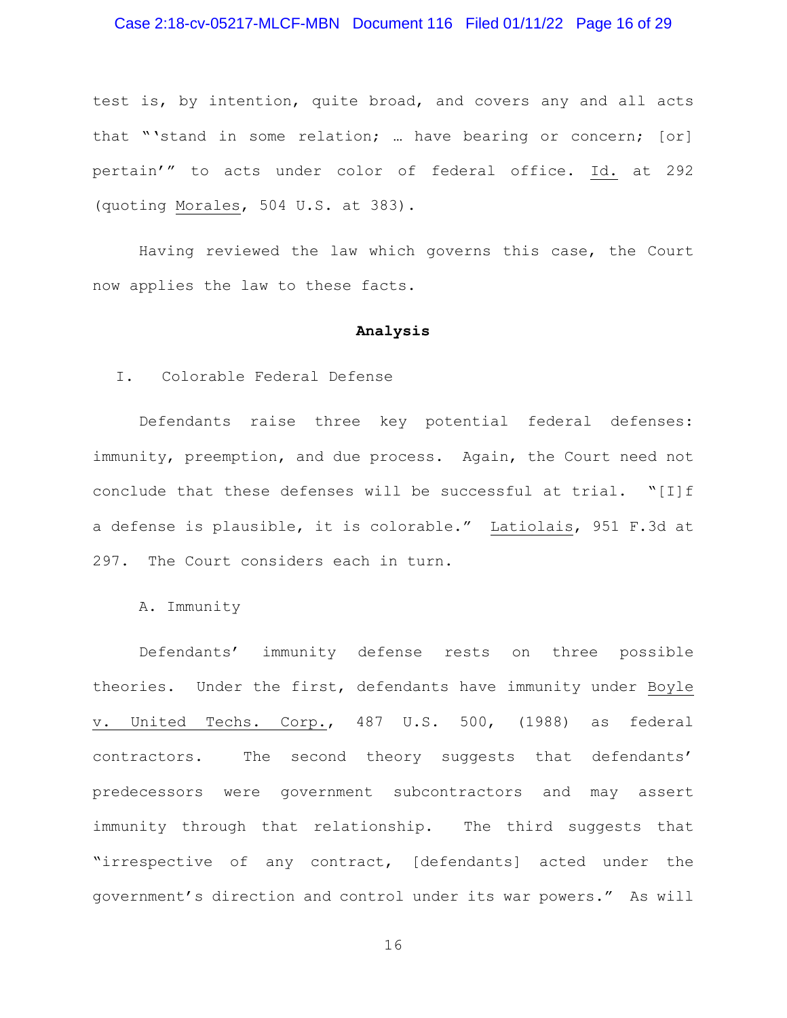# Case 2:18-cv-05217-MLCF-MBN Document 116 Filed 01/11/22 Page 16 of 29

test is, by intention, quite broad, and covers any and all acts that "'stand in some relation; … have bearing or concern; [or] pertain'" to acts under color of federal office. Id. at 292 (quoting Morales, 504 U.S. at 383).

Having reviewed the law which governs this case, the Court now applies the law to these facts.

#### **Analysis**

# I. Colorable Federal Defense

Defendants raise three key potential federal defenses: immunity, preemption, and due process. Again, the Court need not conclude that these defenses will be successful at trial. "[I]f a defense is plausible, it is colorable." Latiolais, 951 F.3d at 297. The Court considers each in turn.

### A. Immunity

Defendants' immunity defense rests on three possible theories. Under the first, defendants have immunity under Boyle v. United Techs. Corp., 487 U.S. 500, (1988) as federal contractors. The second theory suggests that defendants' predecessors were government subcontractors and may assert immunity through that relationship. The third suggests that "irrespective of any contract, [defendants] acted under the government's direction and control under its war powers." As will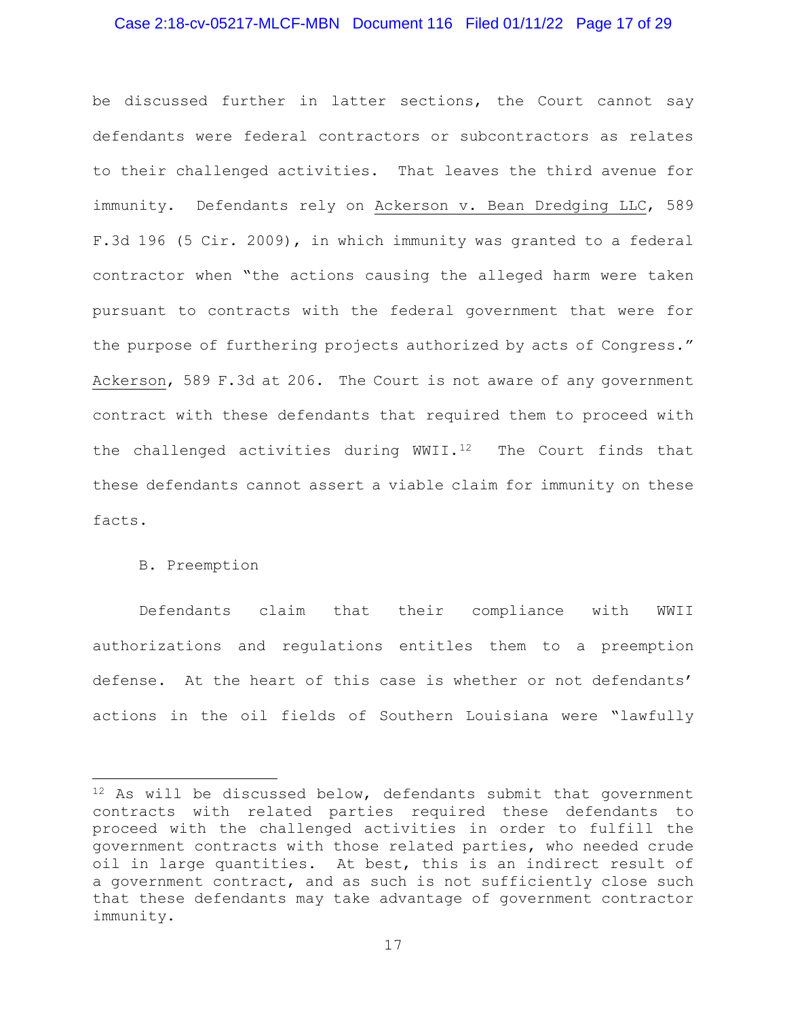# Case 2:18-cv-05217-MLCF-MBN Document 116 Filed 01/11/22 Page 17 of 29

be discussed further in latter sections, the Court cannot say defendants were federal contractors or subcontractors as relates to their challenged activities. That leaves the third avenue for immunity. Defendants rely on Ackerson v. Bean Dredging LLC, 589 F.3d 196 (5 Cir. 2009), in which immunity was granted to a federal contractor when "the actions causing the alleged harm were taken pursuant to contracts with the federal government that were for the purpose of furthering projects authorized by acts of Congress." Ackerson, 589 F.3d at 206. The Court is not aware of any government contract with these defendants that required them to proceed with the challenged activities during  $WWII.^{12}$  The Court finds that these defendants cannot assert a viable claim for immunity on these facts.

# B. Preemption

Defendants claim that their compliance with WWII authorizations and regulations entitles them to a preemption defense. At the heart of this case is whether or not defendants' actions in the oil fields of Southern Louisiana were "lawfully

<sup>12</sup> As will be discussed below, defendants submit that government contracts with related parties required these defendants to proceed with the challenged activities in order to fulfill the government contracts with those related parties, who needed crude oil in large quantities. At best, this is an indirect result of a government contract, and as such is not sufficiently close such that these defendants may take advantage of government contractor immunity.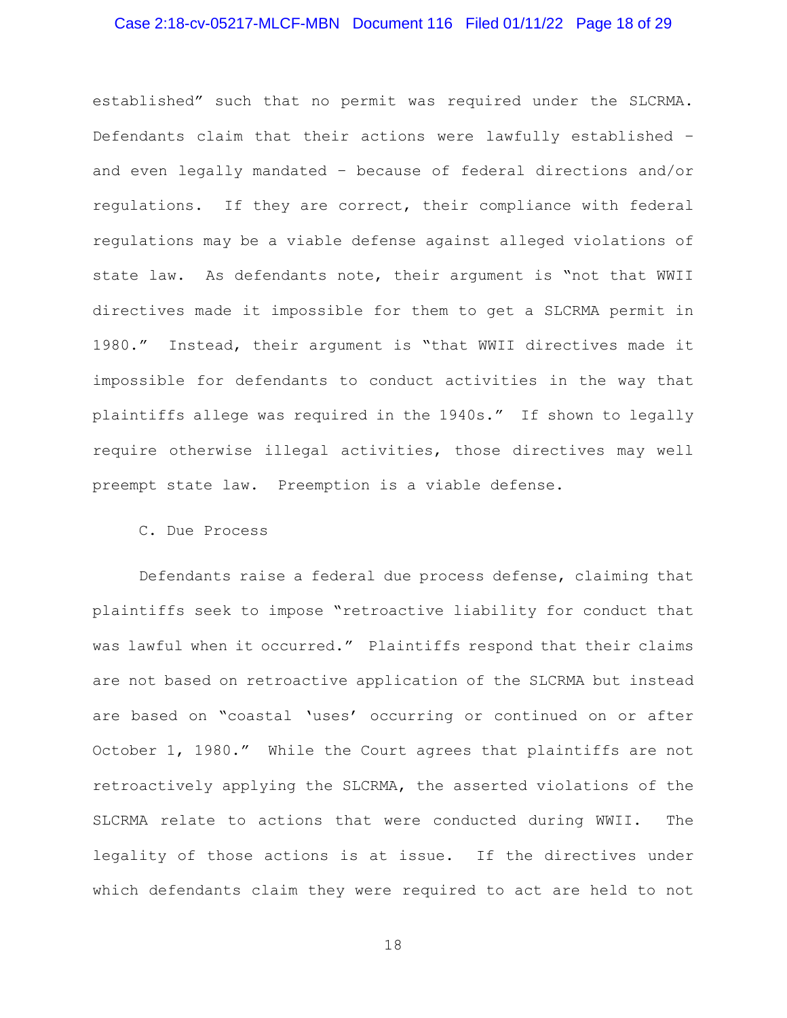# Case 2:18-cv-05217-MLCF-MBN Document 116 Filed 01/11/22 Page 18 of 29

established" such that no permit was required under the SLCRMA. Defendants claim that their actions were lawfully established – and even legally mandated – because of federal directions and/or regulations. If they are correct, their compliance with federal regulations may be a viable defense against alleged violations of state law. As defendants note, their argument is "not that WWII directives made it impossible for them to get a SLCRMA permit in 1980." Instead, their argument is "that WWII directives made it impossible for defendants to conduct activities in the way that plaintiffs allege was required in the 1940s." If shown to legally require otherwise illegal activities, those directives may well preempt state law. Preemption is a viable defense.

C. Due Process

Defendants raise a federal due process defense, claiming that plaintiffs seek to impose "retroactive liability for conduct that was lawful when it occurred." Plaintiffs respond that their claims are not based on retroactive application of the SLCRMA but instead are based on "coastal 'uses' occurring or continued on or after October 1, 1980." While the Court agrees that plaintiffs are not retroactively applying the SLCRMA, the asserted violations of the SLCRMA relate to actions that were conducted during WWII. The legality of those actions is at issue. If the directives under which defendants claim they were required to act are held to not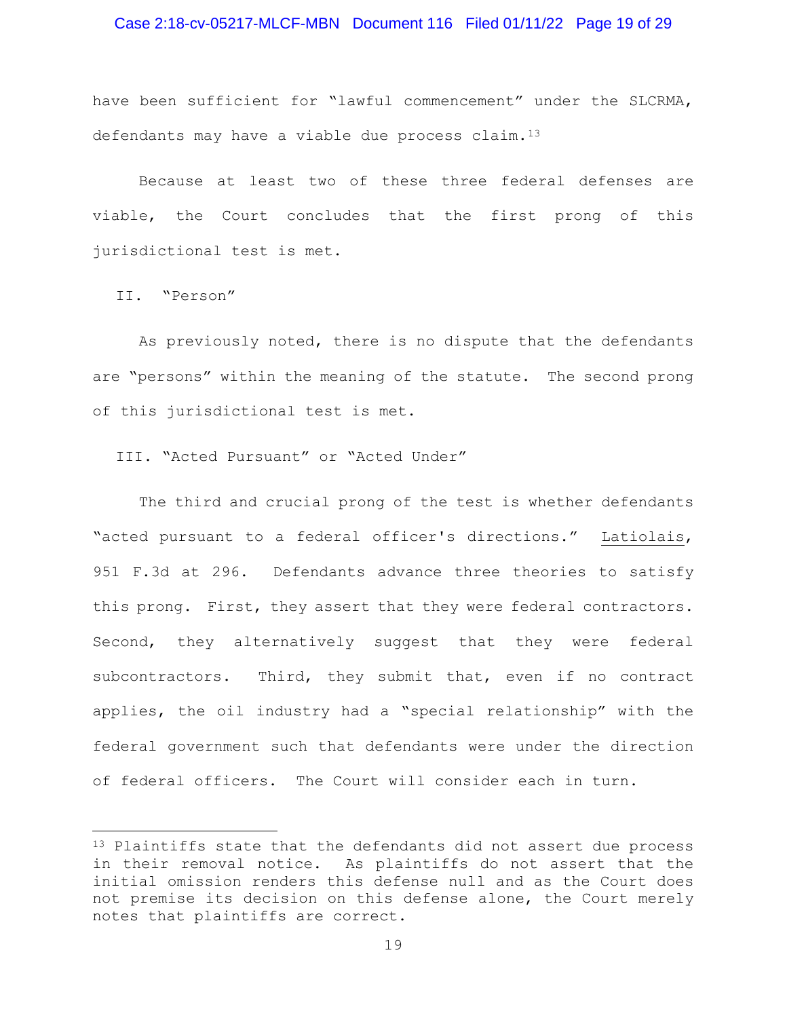# Case 2:18-cv-05217-MLCF-MBN Document 116 Filed 01/11/22 Page 19 of 29

have been sufficient for "lawful commencement" under the SLCRMA, defendants may have a viable due process claim.<sup>13</sup>

Because at least two of these three federal defenses are viable, the Court concludes that the first prong of this jurisdictional test is met.

II. "Person"

As previously noted, there is no dispute that the defendants are "persons" within the meaning of the statute. The second prong of this jurisdictional test is met.

III. "Acted Pursuant" or "Acted Under"

The third and crucial prong of the test is whether defendants "acted pursuant to a federal officer's directions." Latiolais, 951 F.3d at 296. Defendants advance three theories to satisfy this prong. First, they assert that they were federal contractors. Second, they alternatively suggest that they were federal subcontractors. Third, they submit that, even if no contract applies, the oil industry had a "special relationship" with the federal government such that defendants were under the direction of federal officers. The Court will consider each in turn.

<sup>&</sup>lt;sup>13</sup> Plaintiffs state that the defendants did not assert due process in their removal notice. As plaintiffs do not assert that the initial omission renders this defense null and as the Court does not premise its decision on this defense alone, the Court merely notes that plaintiffs are correct.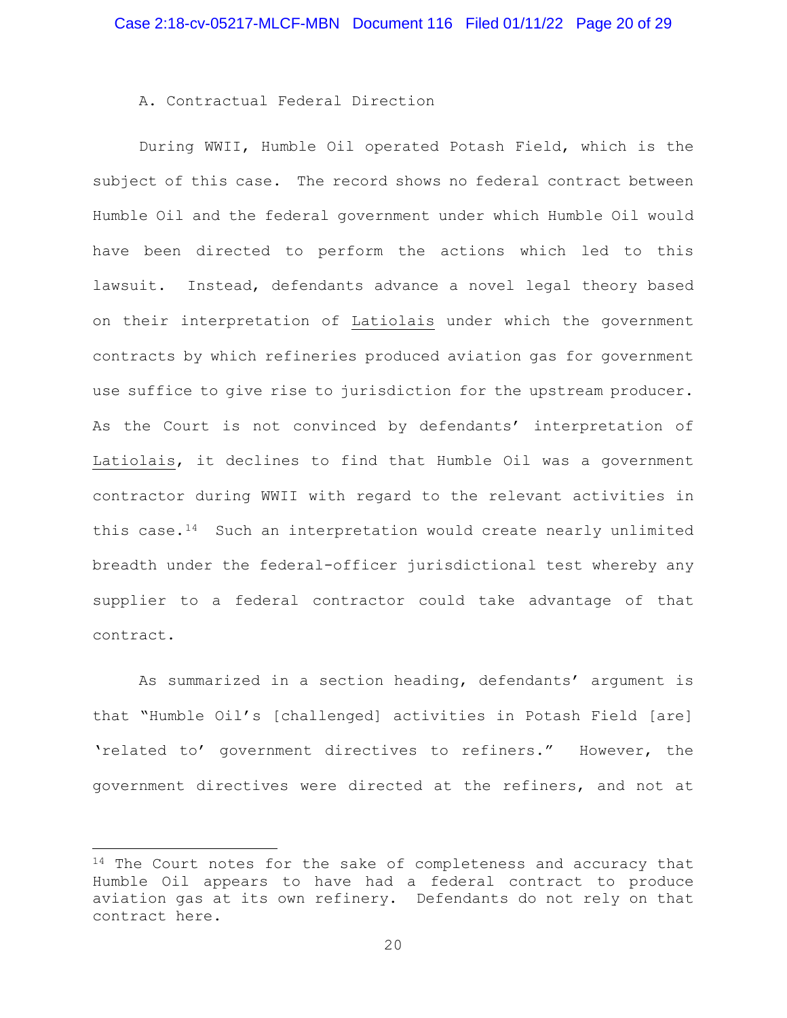A. Contractual Federal Direction

During WWII, Humble Oil operated Potash Field, which is the subject of this case. The record shows no federal contract between Humble Oil and the federal government under which Humble Oil would have been directed to perform the actions which led to this lawsuit. Instead, defendants advance a novel legal theory based on their interpretation of Latiolais under which the government contracts by which refineries produced aviation gas for government use suffice to give rise to jurisdiction for the upstream producer. As the Court is not convinced by defendants' interpretation of Latiolais, it declines to find that Humble Oil was a government contractor during WWII with regard to the relevant activities in this case.<sup>14</sup> Such an interpretation would create nearly unlimited breadth under the federal-officer jurisdictional test whereby any supplier to a federal contractor could take advantage of that contract.

As summarized in a section heading, defendants' argument is that "Humble Oil's [challenged] activities in Potash Field [are] 'related to' government directives to refiners." However, the government directives were directed at the refiners, and not at

<sup>&</sup>lt;sup>14</sup> The Court notes for the sake of completeness and accuracy that Humble Oil appears to have had a federal contract to produce aviation gas at its own refinery. Defendants do not rely on that contract here.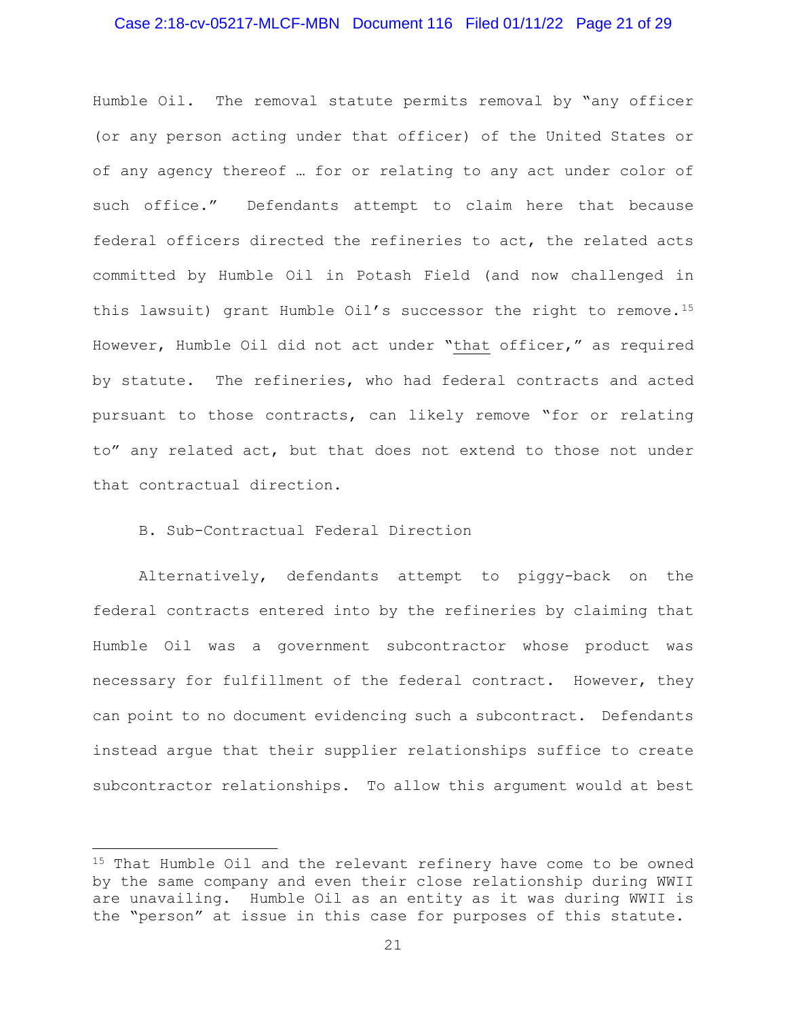# Case 2:18-cv-05217-MLCF-MBN Document 116 Filed 01/11/22 Page 21 of 29

Humble Oil. The removal statute permits removal by "any officer (or any person acting under that officer) of the United States or of any agency thereof … for or relating to any act under color of such office." Defendants attempt to claim here that because federal officers directed the refineries to act, the related acts committed by Humble Oil in Potash Field (and now challenged in this lawsuit) grant Humble Oil's successor the right to remove.<sup>15</sup> However, Humble Oil did not act under "that officer," as required by statute. The refineries, who had federal contracts and acted pursuant to those contracts, can likely remove "for or relating to" any related act, but that does not extend to those not under that contractual direction.

# B. Sub-Contractual Federal Direction

Alternatively, defendants attempt to piggy-back on the federal contracts entered into by the refineries by claiming that Humble Oil was a government subcontractor whose product was necessary for fulfillment of the federal contract. However, they can point to no document evidencing such a subcontract. Defendants instead argue that their supplier relationships suffice to create subcontractor relationships. To allow this argument would at best

<sup>15</sup> That Humble Oil and the relevant refinery have come to be owned by the same company and even their close relationship during WWII are unavailing. Humble Oil as an entity as it was during WWII is the "person" at issue in this case for purposes of this statute.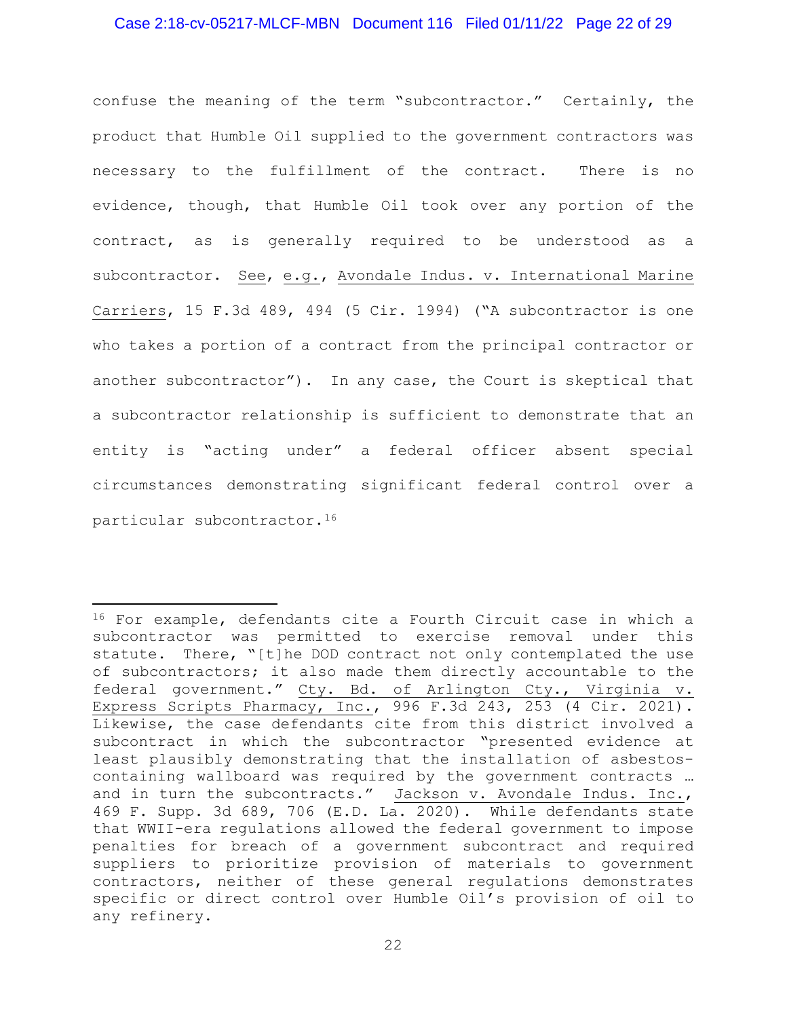# Case 2:18-cv-05217-MLCF-MBN Document 116 Filed 01/11/22 Page 22 of 29

confuse the meaning of the term "subcontractor." Certainly, the product that Humble Oil supplied to the government contractors was necessary to the fulfillment of the contract. There is no evidence, though, that Humble Oil took over any portion of the contract, as is generally required to be understood as a subcontractor. See, e.g., Avondale Indus. v. International Marine Carriers, 15 F.3d 489, 494 (5 Cir. 1994) ("A subcontractor is one who takes a portion of a contract from the principal contractor or another subcontractor"). In any case, the Court is skeptical that a subcontractor relationship is sufficient to demonstrate that an entity is "acting under" a federal officer absent special circumstances demonstrating significant federal control over a particular subcontractor.<sup>16</sup>

<sup>16</sup> For example, defendants cite a Fourth Circuit case in which a subcontractor was permitted to exercise removal under this statute. There, "[t]he DOD contract not only contemplated the use of subcontractors; it also made them directly accountable to the federal government." Cty. Bd. of Arlington Cty., Virginia v. Express Scripts Pharmacy, Inc., 996 F.3d 243, 253 (4 Cir. 2021). Likewise, the case defendants cite from this district involved a subcontract in which the subcontractor "presented evidence at least plausibly demonstrating that the installation of asbestoscontaining wallboard was required by the government contracts … and in turn the subcontracts." Jackson v. Avondale Indus. Inc., 469 F. Supp. 3d 689, 706 (E.D. La. 2020). While defendants state that WWII-era regulations allowed the federal government to impose penalties for breach of a government subcontract and required suppliers to prioritize provision of materials to government contractors, neither of these general regulations demonstrates specific or direct control over Humble Oil's provision of oil to any refinery.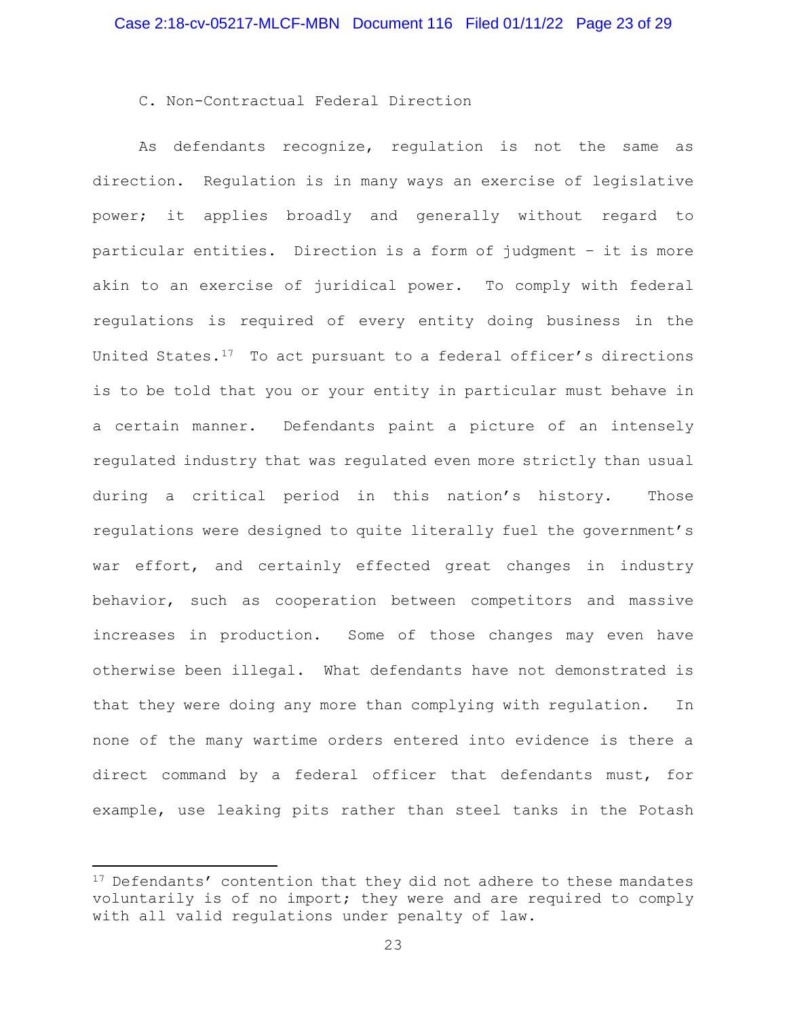# C. Non-Contractual Federal Direction

As defendants recognize, regulation is not the same as direction. Regulation is in many ways an exercise of legislative power; it applies broadly and generally without regard to particular entities. Direction is a form of judgment – it is more akin to an exercise of juridical power. To comply with federal regulations is required of every entity doing business in the United States.<sup>17</sup> To act pursuant to a federal officer's directions is to be told that you or your entity in particular must behave in a certain manner. Defendants paint a picture of an intensely regulated industry that was regulated even more strictly than usual during a critical period in this nation's history. Those regulations were designed to quite literally fuel the government's war effort, and certainly effected great changes in industry behavior, such as cooperation between competitors and massive increases in production. Some of those changes may even have otherwise been illegal. What defendants have not demonstrated is that they were doing any more than complying with regulation. In none of the many wartime orders entered into evidence is there a direct command by a federal officer that defendants must, for example, use leaking pits rather than steel tanks in the Potash

<sup>&</sup>lt;sup>17</sup> Defendants' contention that they did not adhere to these mandates voluntarily is of no import; they were and are required to comply with all valid regulations under penalty of law.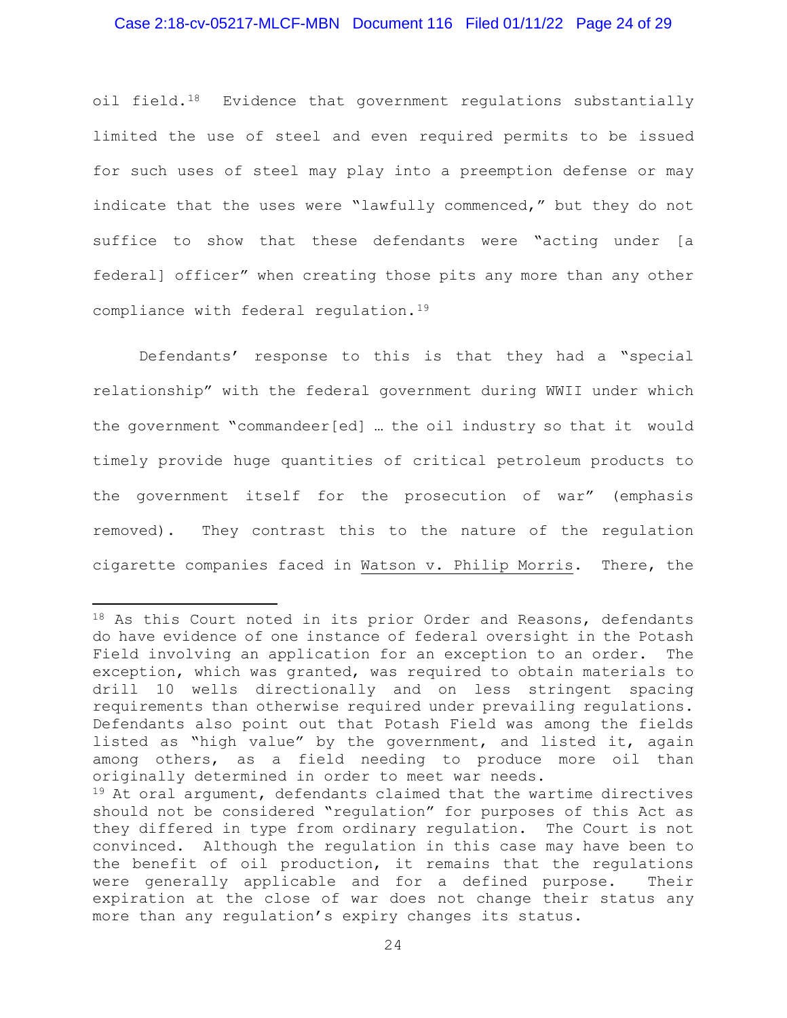# Case 2:18-cv-05217-MLCF-MBN Document 116 Filed 01/11/22 Page 24 of 29

oil field.<sup>18</sup> Evidence that government regulations substantially limited the use of steel and even required permits to be issued for such uses of steel may play into a preemption defense or may indicate that the uses were "lawfully commenced," but they do not suffice to show that these defendants were "acting under [a federal] officer" when creating those pits any more than any other compliance with federal regulation.<sup>19</sup>

Defendants' response to this is that they had a "special relationship" with the federal government during WWII under which the government "commandeer[ed] … the oil industry so that it would timely provide huge quantities of critical petroleum products to the government itself for the prosecution of war" (emphasis removed). They contrast this to the nature of the regulation cigarette companies faced in Watson v. Philip Morris. There, the

<sup>18</sup> As this Court noted in its prior Order and Reasons, defendants do have evidence of one instance of federal oversight in the Potash Field involving an application for an exception to an order. The exception, which was granted, was required to obtain materials to drill 10 wells directionally and on less stringent spacing requirements than otherwise required under prevailing regulations. Defendants also point out that Potash Field was among the fields listed as "high value" by the government, and listed it, again among others, as a field needing to produce more oil than originally determined in order to meet war needs.

<sup>19</sup> At oral argument, defendants claimed that the wartime directives should not be considered "regulation" for purposes of this Act as they differed in type from ordinary regulation. The Court is not convinced. Although the regulation in this case may have been to the benefit of oil production, it remains that the regulations were generally applicable and for a defined purpose. Their expiration at the close of war does not change their status any more than any regulation's expiry changes its status.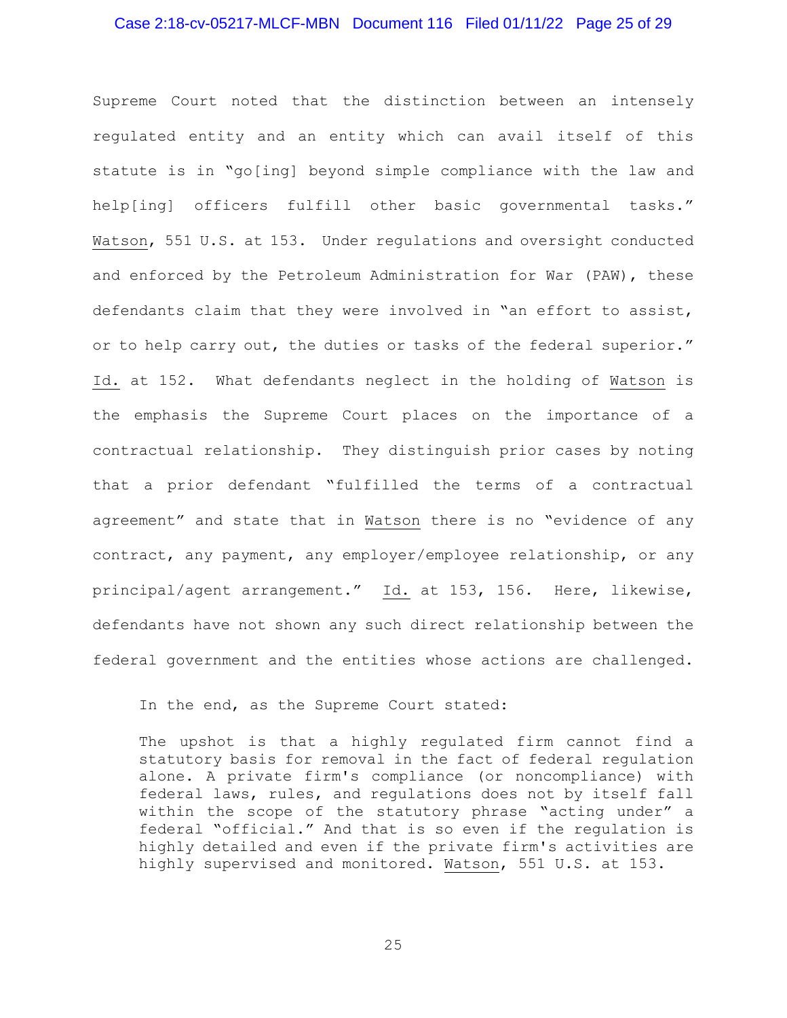### Case 2:18-cv-05217-MLCF-MBN Document 116 Filed 01/11/22 Page 25 of 29

Supreme Court noted that the distinction between an intensely regulated entity and an entity which can avail itself of this statute is in "go[ing] beyond simple compliance with the law and help[ing] officers fulfill other basic governmental tasks." Watson, 551 U.S. at 153. Under regulations and oversight conducted and enforced by the Petroleum Administration for War (PAW), these defendants claim that they were involved in "an effort to assist, or to help carry out, the duties or tasks of the federal superior." Id. at 152. What defendants neglect in the holding of Watson is the emphasis the Supreme Court places on the importance of a contractual relationship. They distinguish prior cases by noting that a prior defendant "fulfilled the terms of a contractual agreement" and state that in Watson there is no "evidence of any contract, any payment, any employer/employee relationship, or any principal/agent arrangement." Id. at 153, 156. Here, likewise, defendants have not shown any such direct relationship between the federal government and the entities whose actions are challenged.

In the end, as the Supreme Court stated:

The upshot is that a highly regulated firm cannot find a statutory basis for removal in the fact of federal regulation alone. A private firm's compliance (or noncompliance) with federal laws, rules, and regulations does not by itself fall within the scope of the statutory phrase "acting under" a federal "official." And that is so even if the regulation is highly detailed and even if the private firm's activities are highly supervised and monitored. Watson, 551 U.S. at 153.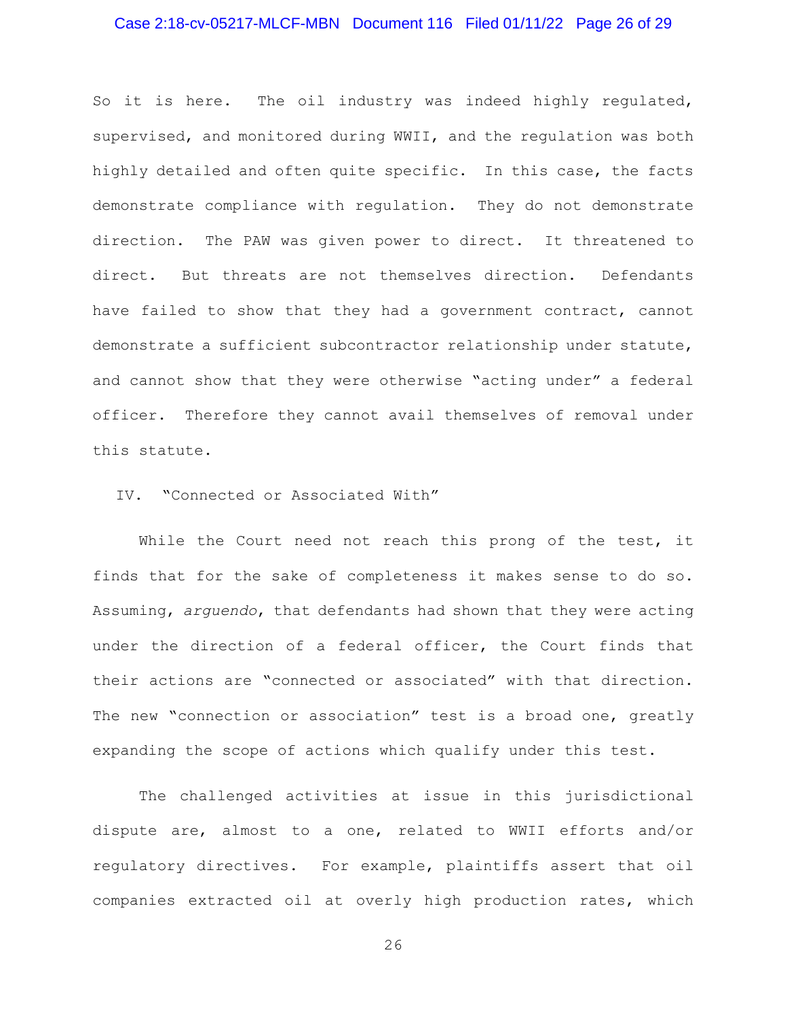# Case 2:18-cv-05217-MLCF-MBN Document 116 Filed 01/11/22 Page 26 of 29

So it is here. The oil industry was indeed highly regulated, supervised, and monitored during WWII, and the regulation was both highly detailed and often quite specific. In this case, the facts demonstrate compliance with regulation. They do not demonstrate direction. The PAW was given power to direct. It threatened to direct. But threats are not themselves direction. Defendants have failed to show that they had a government contract, cannot demonstrate a sufficient subcontractor relationship under statute, and cannot show that they were otherwise "acting under" a federal officer. Therefore they cannot avail themselves of removal under this statute.

IV. "Connected or Associated With"

While the Court need not reach this prong of the test, it finds that for the sake of completeness it makes sense to do so. Assuming, *arguendo*, that defendants had shown that they were acting under the direction of a federal officer, the Court finds that their actions are "connected or associated" with that direction. The new "connection or association" test is a broad one, greatly expanding the scope of actions which qualify under this test.

The challenged activities at issue in this jurisdictional dispute are, almost to a one, related to WWII efforts and/or regulatory directives. For example, plaintiffs assert that oil companies extracted oil at overly high production rates, which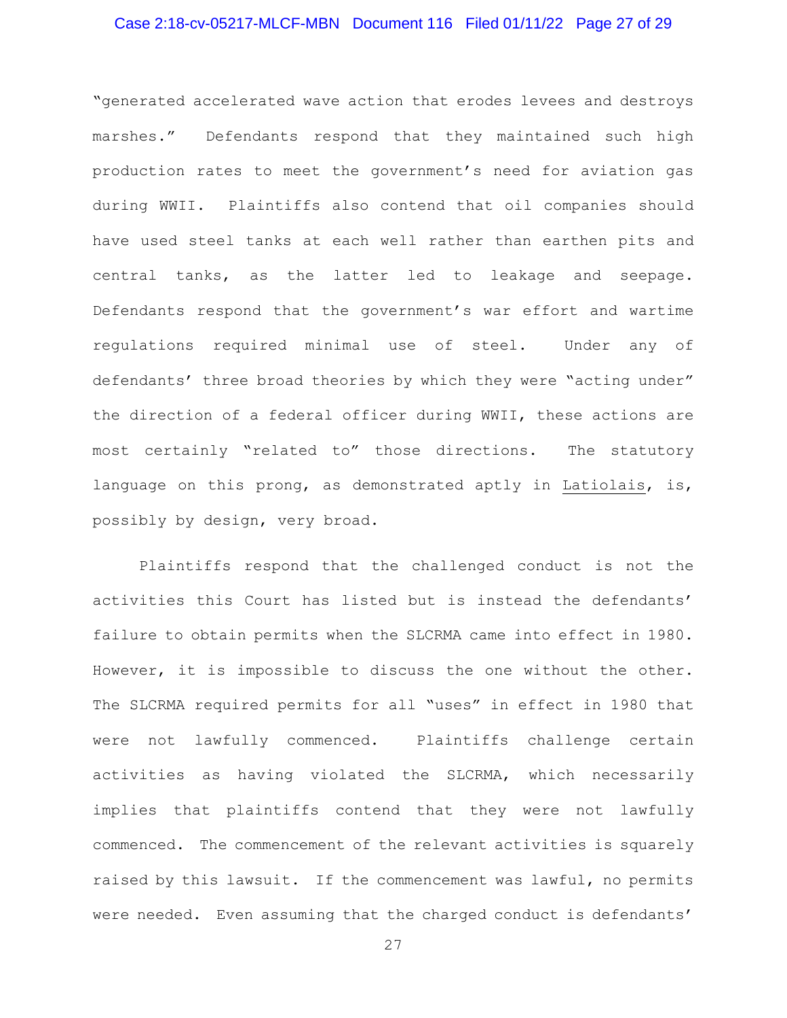# Case 2:18-cv-05217-MLCF-MBN Document 116 Filed 01/11/22 Page 27 of 29

"generated accelerated wave action that erodes levees and destroys marshes." Defendants respond that they maintained such high production rates to meet the government's need for aviation gas during WWII. Plaintiffs also contend that oil companies should have used steel tanks at each well rather than earthen pits and central tanks, as the latter led to leakage and seepage. Defendants respond that the government's war effort and wartime regulations required minimal use of steel. Under any of defendants' three broad theories by which they were "acting under" the direction of a federal officer during WWII, these actions are most certainly "related to" those directions. The statutory language on this prong, as demonstrated aptly in Latiolais, is, possibly by design, very broad.

Plaintiffs respond that the challenged conduct is not the activities this Court has listed but is instead the defendants' failure to obtain permits when the SLCRMA came into effect in 1980. However, it is impossible to discuss the one without the other. The SLCRMA required permits for all "uses" in effect in 1980 that were not lawfully commenced. Plaintiffs challenge certain activities as having violated the SLCRMA, which necessarily implies that plaintiffs contend that they were not lawfully commenced. The commencement of the relevant activities is squarely raised by this lawsuit. If the commencement was lawful, no permits were needed. Even assuming that the charged conduct is defendants'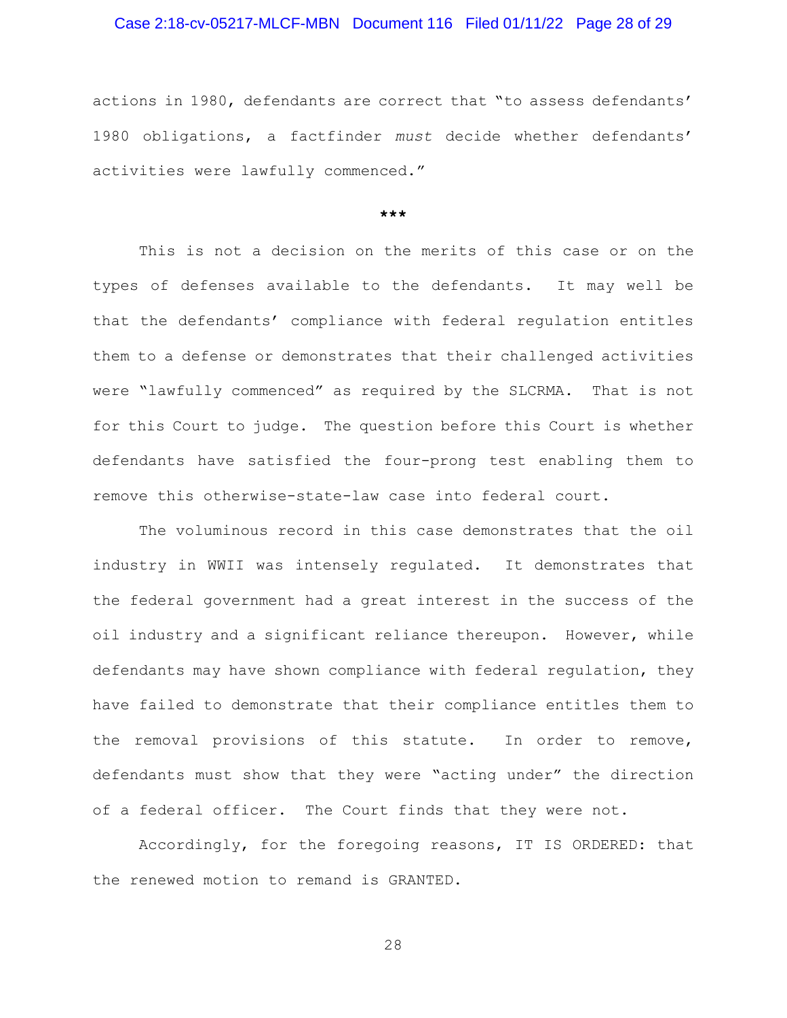# Case 2:18-cv-05217-MLCF-MBN Document 116 Filed 01/11/22 Page 28 of 29

actions in 1980, defendants are correct that "to assess defendants' 1980 obligations, a factfinder *must* decide whether defendants' activities were lawfully commenced."

#### **\*\*\***

This is not a decision on the merits of this case or on the types of defenses available to the defendants. It may well be that the defendants' compliance with federal regulation entitles them to a defense or demonstrates that their challenged activities were "lawfully commenced" as required by the SLCRMA. That is not for this Court to judge. The question before this Court is whether defendants have satisfied the four-prong test enabling them to remove this otherwise-state-law case into federal court.

 The voluminous record in this case demonstrates that the oil industry in WWII was intensely regulated. It demonstrates that the federal government had a great interest in the success of the oil industry and a significant reliance thereupon. However, while defendants may have shown compliance with federal regulation, they have failed to demonstrate that their compliance entitles them to the removal provisions of this statute. In order to remove, defendants must show that they were "acting under" the direction of a federal officer. The Court finds that they were not.

Accordingly, for the foregoing reasons, IT IS ORDERED: that the renewed motion to remand is GRANTED.